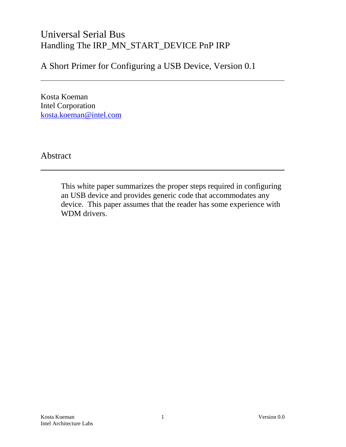# Universal Serial Bus Handling The IRP\_MN\_START\_DEVICE PnP IRP

A Short Primer for Configuring a USB Device, Version 0.1

Kosta Koeman Intel Corporation kosta.koeman@intel.com

Abstract

This white paper summarizes the proper steps required in configuring an USB device and provides generic code that accommodates any device. This paper assumes that the reader has some experience with WDM drivers.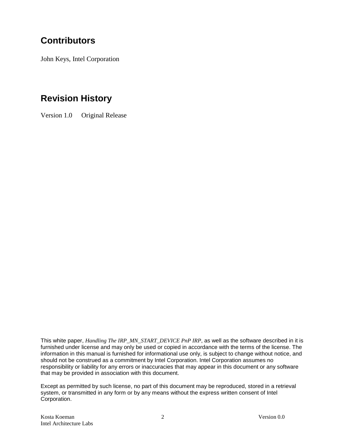# **Contributors**

John Keys, Intel Corporation

# **Revision History**

Version 1.0 Original Release

This white paper, *Handling The IRP\_MN\_START\_DEVICE PnP IRP*, as well as the software described in it is furnished under license and may only be used or copied in accordance with the terms of the license. The information in this manual is furnished for informational use only, is subject to change without notice, and should not be construed as a commitment by Intel Corporation. Intel Corporation assumes no responsibility or liability for any errors or inaccuracies that may appear in this document or any software that may be provided in association with this document.

Except as permitted by such license, no part of this document may be reproduced, stored in a retrieval system, or transmitted in any form or by any means without the express written consent of Intel Corporation.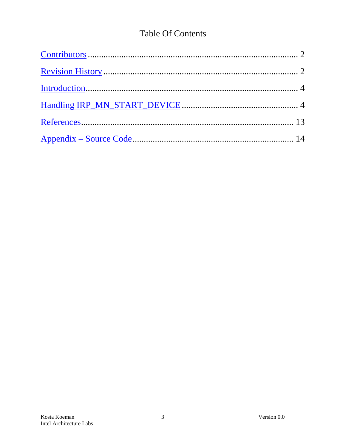# **Table Of Contents**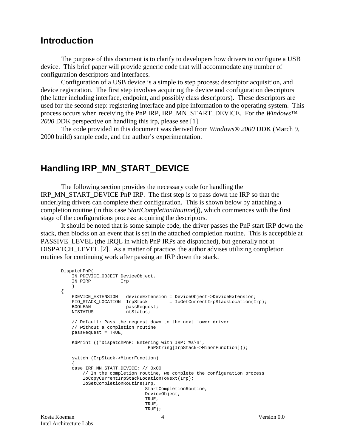### **Introduction**

The purpose of this document is to clarify to developers how drivers to configure a USB device. This brief paper will provide generic code that will accommodate any number of configuration descriptors and interfaces.

Configuration of a USB device is a simple to step process: descriptor acquisition, and device registration. The first step involves acquiring the device and configuration descriptors (the latter including interface, endpoint, and possibly class descriptors). These descriptors are used for the second step: registering interface and pipe information to the operating system. This process occurs when receiving the PnP IRP, IRP\_MN\_START\_DEVICE. For the *Windows™ 2000* DDK perspective on handling this irp, please see [1].

The code provided in this document was derived from *Windows® 2000* DDK (March 9, 2000 build) sample code, and the author's experimentation.

### **Handling IRP\_MN\_START\_DEVICE**

The following section provides the necessary code for handling the IRP\_MN\_START\_DEVICE PnP IRP. The first step is to pass down the IRP so that the underlying drivers can complete their configuration. This is shown below by attaching a completion routine (in this case *StartCompletionRoutine*()), which commences with the first stage of the configurations process: acquiring the descriptors.

It should be noted that is some sample code, the driver passes the PnP start IRP down the stack, then blocks on an event that is set in the attached completion routine. This is acceptible at PASSIVE\_LEVEL (the IRQL in which PnP IRPs are dispatched), but generally not at DISPATCH\_LEVEL [2]. As a matter of practice, the author advises utilizing completion routines for continuing work after passing an IRP down the stack.

```
DispatchPnP(
    IN PDEVICE_OBJECT DeviceObject,
    IN PIRP Irp
    )
{
    PDEVICE_EXTENSION deviceExtension = DeviceObject->DeviceExtension;
   PIO_STACK_LOCATION IrpStack = IoGetCurrentIrpStackLocation(Irp);<br>BOOLEAN passRequest;
BOOLEAN passRequest;
NTSTATUS ntStatus;
    // Default: Pass the request down to the next lower driver
    // without a completion routine
    passRequest = TRUE;
    KdPrint (("DispatchPnP: Entering with IRP: %s\n",
                                PnPString[IrpStack->MinorFunction]));
    switch (IrpStack->MinorFunction)
\{ case IRP_MN_START_DEVICE: // 0x00
        // In the completion routine, we complete the configuration process
        IoCopyCurrentIrpStackLocationToNext(Irp);
        IoSetCompletionRoutine(Irp,
                               StartCompletionRoutine,
                               DeviceObject,
                               TRUE,
                               TRUE,
                               TRUE);
```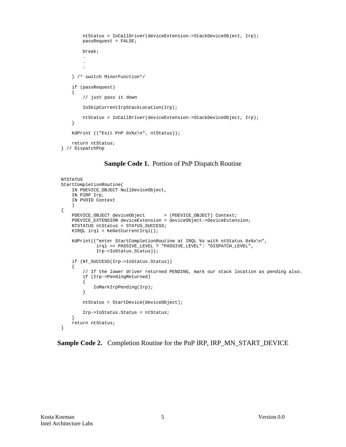```
 ntStatus = IoCallDriver(deviceExtension->StackDeviceObject, Irp);
        passRequest = FALSE;
        break;
 .
 .
 .
    } /* switch MinorFunction*/
    if (passRequest)
    {
        // just pass it down
        IoSkipCurrentIrpStackLocation(Irp);
        ntStatus = IoCallDriver(deviceExtension->StackDeviceObject, Irp);
    }
    KdPrint (("Exit PnP 0x%x\n", ntStatus));
    return ntStatus;
} // DispatchPnp
```
#### **Sample Code 1.** Portion of PnP Dispatch Routine

```
NTSTATUS
StartCompletionRoutine(
     IN PDEVICE_OBJECT NullDeviceObject,
     IN PIRP Irp,
     IN PVOID Context
\overline{\phantom{a}}{
    PDEVICE_OBJECT deviceObject = (PDEVICE_OBJECT) Context;
     PDEVICE_EXTENSION deviceExtension = deviceObject->DeviceExtension;
     NTSTATUS ntStatus = STATUS_SUCCESS;
     KIRQL irql = KeGetCurrentIrql();
     KdPrint(("enter StartCompletionRoutine at IRQL %s with ntStatus 0x%x\n",
               irql == PASSIVE_LEVEL ? "PASSIVE_LEVEL": "DISPATCH_LEVEL",
              Irp->IoStatus.Status));
     if (NT_SUCCESS(Irp->IoStatus.Status))
     {
         // If the lower driver returned PENDING, mark our stack location as pending also.
         if (Irp->PendingReturned)
         {
             IoMarkIrpPending(Irp);
         }
         ntStatus = StartDevice(deviceObject);
         Irp->IoStatus.Status = ntStatus;
     }
     return ntStatus;
}
```
**Sample Code 2.** Completion Routine for the PnP IRP, IRP\_MN\_START\_DEVICE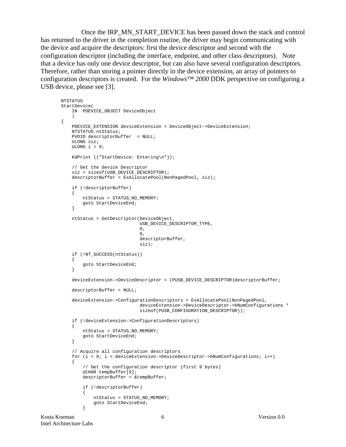Once the IRP\_MN\_START\_DEVICE has been passed down the stack and control has returned to the driver in the completion routine, the driver may begin communicating with the device and acquire the descriptors: first the device descriptor and second with the configuration descriptor (including the interface, endpoint, and other class descriptors). Note that a device has only one device descriptor, but can also have several configuration descriptors. Therefore, rather than storing a pointer directly in the device extension, an array of pointers to configuration descriptors is created. For the *Windows™ 2000* DDK perspective on configuring a USB device, please see [3].

```
NTSTATUS
StartDevice(
     IN PDEVICE_OBJECT DeviceObject
\overline{\phantom{a}} PDEVICE_EXTENSION deviceExtension = DeviceObject->DeviceExtension;
    NTSTATUS ntStatus;
    PVOID descriptorBuffer = NULL;
    ULONG siz;
    ULONG i = 0;
    KdPrint (("StartDevice: Entering\n"));
     // Get the device Descriptor
     siz = sizeof(USB_DEVICE_DESCRIPTOR);
    descriptorBuffer = ExAllocatePool(NonPagedPool, siz);
     if (!descriptorBuffer)
     {
         ntStatus = STATUS_NO_MEMORY;
         goto StartDeviceEnd;
     }
     ntStatus = GetDescriptor(DeviceObject,
                               USB_DEVICE_DESCRIPTOR_TYPE,
\overline{\mathbf{0}},
\overline{0},
                               descriptorBuffer,
                               siz);
     if (!NT_SUCCESS(ntStatus))
     {
         goto StartDeviceEnd;
     }
     deviceExtension->DeviceDescriptor = (PUSB_DEVICE_DESCRIPTOR)descriptorBuffer;
     descriptorBuffer = NULL;
     deviceExtension->ConfigurationDescriptors = ExAllocatePool(NonPagedPool,
                               deviceExtension->DeviceDescriptor->bNumConfigurations *
                              sizeof(PUSB_CONFIGURATION_DESCRIPTOR));
     if (!deviceExtension->ConfigurationDescriptors)
     {
         ntStatus = STATUS_NO_MEMORY;
         goto StartDeviceEnd;
 }
     // Acquire all configuration descriptors
     for (i = 0; i < deviceExtension->DeviceDescriptor->bNumConfigurations; i++)
\{ // Get the configuration descriptor (first 9 bytes)
         UCHAR tempBuffer[9];
         descriptorBuffer = &tempBuffer;
         if (!descriptorBuffer)
\left\{ \begin{array}{c} \end{array} \right. ntStatus = STATUS_NO_MEMORY;
             goto StartDeviceEnd;
 }
```
{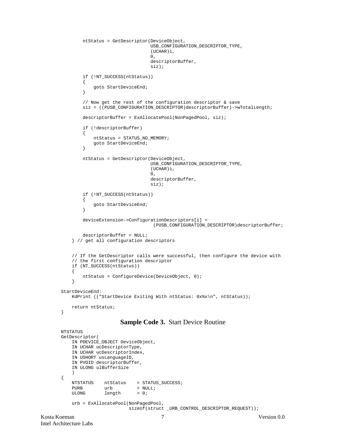```
 ntStatus = GetDescriptor(DeviceObject,
                                   USB_CONFIGURATION_DESCRIPTOR_TYPE,
                                    (UCHAR)i,
\overline{\mathbf{0}},
                                   descriptorBuffer,
                                   siz);
         if (!NT_SUCCESS(ntStatus))
\left\{ \begin{array}{c} \end{array} \right.goto StartDeviceEnd;
 }
         // Now get the rest of the configuration descriptor & save
        siz = ((PUSB CONFIGURATION DESCRIPTOR)descriptorBuffer)->wTotalLength;
         descriptorBuffer = ExAllocatePool(NonPagedPool, siz);
         if (!descriptorBuffer)
\{ ntStatus = STATUS_NO_MEMORY;
             goto StartDeviceEnd;
 }
         ntStatus = GetDescriptor(DeviceObject,
                                   USB_CONFIGURATION_DESCRIPTOR_TYPE,
                                    (UCHAR)i,
\overline{\mathbf{0}},
                                   descriptorBuffer,
                                   siz);
         if (!NT_SUCCESS(ntStatus))
\left\{ \begin{array}{c} \end{array} \right. goto StartDeviceEnd;
         }
         deviceExtension->ConfigurationDescriptors[i] =
                                     (PUSB_CONFIGURATION_DESCRIPTOR)descriptorBuffer;
         descriptorBuffer = NULL;
     } // get all configuration descriptors
     // If the GetDescriptor calls were successful, then configure the device with
     // the first configuration descriptor
     if (NT_SUCCESS(ntStatus))
     {
         ntStatus = ConfigureDevice(DeviceObject, 0);
     }
StartDeviceEnd:
    KdPrint (("StartDevice Exiting With ntStatus: 0x%x\n", ntStatus));
     return ntStatus;
```
#### **Sample Code 3.** Start Device Routine

```
Kosta Koeman 7 Version 0.0
      NTSTATUS
      GetDescriptor(
          IN PDEVICE_OBJECT DeviceObject,
          IN UCHAR ucDescriptorType,
          IN UCHAR ucDescriptorIndex,
          IN USHORT usLanguageID,
          IN PVOID descriptorBuffer,
          IN ULONG ulBufferSize
          )
      {
         NTSTATUS ntStatus = STATUS_SUCCESS;
         PURB urb = NULL;
         ULONG length = 0;
          urb = ExAllocatePool(NonPagedPool,
                           sizeof(struct _URB_CONTROL_DESCRIPTOR_REQUEST));
```
}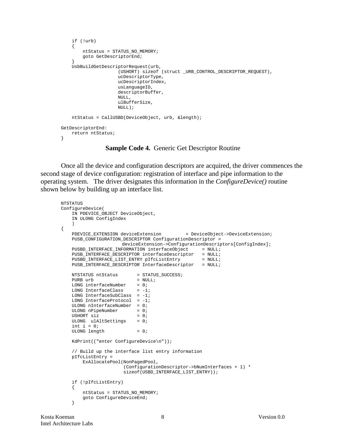```
 if (!urb)
\{ ntStatus = STATUS_NO_MEMORY;
         goto GetDescriptorEnd;
 }
     UsbBuildGetDescriptorRequest(urb,
                       (USHORT) sizeof (struct _URB_CONTROL_DESCRIPTOR_REQUEST),
                       ucDescriptorType,
                       ucDescriptorIndex,
                       usLanguageID,
                       descriptorBuffer,
                       NULL,
                       ulBufferSize,
                       NULL);
     ntStatus = CallUSBD(DeviceObject, urb, &length);
GetDescriptorEnd:
    return ntStatus;
}
```
**Sample Code 4.** Generic Get Descriptor Routine

Once all the device and configuration descriptors are acquired, the driver commences the second stage of device configuration: registration of interface and pipe information to the operating system. The driver designates this information in the *ConfigureDevice()* routine shown below by building up an interface list.

```
NTSTATUS
ConfigureDevice(
    IN PDEVICE_OBJECT DeviceObject,
    IN ULONG ConfigIndex
    )
{
   PDEVICE_EXTENSION deviceExtension = DeviceObject->DeviceExtension;
   PUSB CONFIGURATION DESCRIPTOR ConfigurationDescriptor =
                     deviceExtension->ConfigurationDescriptors[ConfigIndex];
   PUSBD INTERFACE INFORMATION interfaceObject = NULL;
   PUSB_INTERFACE_DESCRIPTOR interfaceDescriptor = NULL;
PUSBD_INTERFACE_LIST_ENTRY pIfcListEntry = NULL;
PUSB_INTERFACE_DESCRIPTOR InterfaceDescriptor = NULL;
   NTSTATUS ntStatus = STATUS_SUCCESS;<br> PURB urb = NULL;
PURB urb = NULL;
LONG interfaceNumber = 0;LONG InterfaceClass = -1; LONG InterfaceSubClass = -1;
LONG InterfaceProtocol = -1;
    ULONG nInterfaceNumber = 0;
   ULONG nPipelNumber = 0;<br>USHORT siz = 0;USHORT siz
   ULONG ulAltSettings = 0;
   int i = 0;
   ULONG length = 0;
    KdPrint(("enter ConfigureDevice\n"));
    // Build up the interface list entry information
    pIfcListEntry =
        ExAllocatePool(NonPagedPool,
                       (ConfigurationDescriptor->bNumInterfaces + 1) *
                       sizeof(USBD_INTERFACE_LIST_ENTRY));
    if (!pIfcListEntry)
    {
        ntStatus = STATUS_NO_MEMORY;
        goto ConfigureDeviceEnd;
     }
```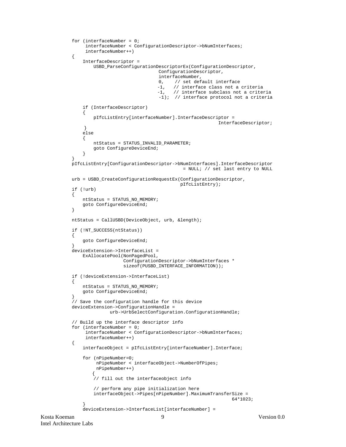```
Kosta Koeman 9 Version 0.0
           for (interfaceNumber = 0;
                 interfaceNumber < ConfigurationDescriptor->bNumInterfaces;
                 interfaceNumber++)
            {
                InterfaceDescriptor =
                    USBD_ParseConfigurationDescriptorEx(ConfigurationDescriptor,
                                            ConfigurationDescriptor,
                                            interfaceNumber,
                                          0, // set default interface<br>-1, // interface class not a
                                          -1, \frac{1}{1} // interface class not a criteria<br>-1, // interface subclass not a crite
                               -1, // interface subclass not a criteria
        -1); // interface protocol not a criteria
                if (InterfaceDescriptor)
       \left\{ \begin{array}{c} \end{array} \right. pIfcListEntry[interfaceNumber].InterfaceDescriptor =
                                                                  InterfaceDescriptor;
                 }
                else
       \{ ntStatus = STATUS_INVALID_PARAMETER;
                    goto ConfigureDeviceEnd;
        }
        }
            pIfcListEntry[ConfigurationDescriptor->bNumInterfaces].InterfaceDescriptor
                                                     = NULL; // set last entry to NULL
            urb = USBD_CreateConfigurationRequestEx(ConfigurationDescriptor,
                                                    pIfcListEntry);
            if (!urb)
            {
                ntStatus = STATUS_NO_MEMORY;
                goto ConfigureDeviceEnd;
        }
            ntStatus = CallUSBD(DeviceObject, urb, &length);
            if (!NT_SUCCESS(ntStatus))
            {
                goto ConfigureDeviceEnd;
        }
            deviceExtension->InterfaceList =
                ExAllocatePool(NonPagedPool,
                               ConfigurationDescriptor->bNumInterfaces *
                               sizeof(PUSBD_INTERFACE_INFORMATION));
            if (!deviceExtension->InterfaceList)
        {
                ntStatus = STATUS_NO_MEMORY;
                goto ConfigureDeviceEnd;
        }
            // Save the configuration handle for this device
            deviceExtension->ConfigurationHandle =
                          urb->UrbSelectConfiguration.ConfigurationHandle;
            // Build up the interface descriptor info
            for (interfaceNumber = 0;
                 interfaceNumber < ConfigurationDescriptor->bNumInterfaces;
                 interfaceNumber++)
            {
                interfaceObject = pIfcListEntry[interfaceNumber].Interface;
                for (nPipeNumber=0;
                     nPipeNumber < interfaceObject->NumberOfPipes;
                     nPipeNumber++)
                    {
                   .<br>// fill out the interfaceobject info
                    // perform any pipe initialization here
                    interfaceObject->Pipes[nPipeNumber].MaximumTransferSize =
       64*1023; }
                deviceExtension->InterfaceList[interfaceNumber] =
```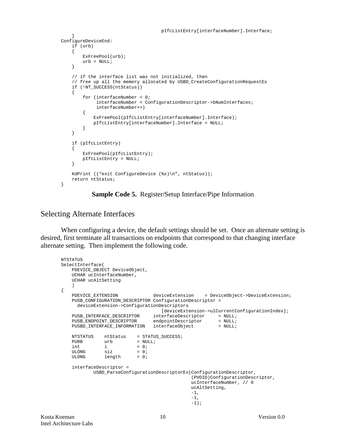```
 pIfcListEntry[interfaceNumber].Interface;
 }
ConfigureDeviceEnd:
     if (urb)
     {
         ExFreePool(urb);
        urb = NIIIJJ }
     // if the interface list was not initialized, then
     // free up all the memory allocated by USBD_CreateConfigurationRequestEx
     if (!NT_SUCCESS(ntStatus))
     {
         for (interfaceNumber = 0;
              interfaceNumber < ConfigurationDescriptor->bNumInterfaces;
              interfaceNumber++)
         {
             ExFreePool(pIfcListEntry[interfaceNumber].Interface);
             pIfcListEntry[interfaceNumber].Interface = NULL;
         }
     }
     if (pIfcListEntry)
\{ ExFreePool(pIfcListEntry);
         pIfcListEntry = NULL;
     }
     KdPrint (("exit ConfigureDevice (%x)\n", ntStatus));
     return ntStatus;
}
```
#### **Sample Code 5.** Register/Setup Interface/Pipe Information

#### Selecting Alternate Interfaces

When configuring a device, the default settings should be set. Once an alternate setting is desired, first terminate all transactions on endpoints that correspond to that changing interface alternate setting. Then implement the following code.

```
NTSTATUS
SelectInterface(
    PDEVICE OBJECT DeviceObject,
     UCHAR ucInterfaceNumber,
     UCHAR ucAltSetting
\overline{\phantom{a}}{
     PDEVICE_EXTENSION deviceExtension = DeviceObject->DeviceExtension;
     PUSB_CONFIGURATION_DESCRIPTOR ConfigurationDescriptor =
       deviceExtension->ConfigurationDescriptors
                                          [deviceExtension->ulCurrentConfigurationIndex];
PUSB_INTERFACE_DESCRIPTOR interfaceDescriptor = NULL;
PUSB_ENDPOINT_DESCRIPTOR endpointDescriptor = NULL;
    PUSB_INTERFACE_DESCRIPTOR endpointDescriptor = NULL;<br>PUSB_ENDPOINT_DESCRIPTOR endpointDescriptor = NULL;<br>PUSBD_INTERFACE_INFORMATION interfaceObject = NULL;
    \begin{array}{lll} \mathtt{NTSTATUS} & \mathtt{ntStatus} & = \mathtt{STATUS\_SUCCESS} \, ; \\ \mathtt{PURB} & \mathtt{urb} & = \mathtt{NULL} \, ; \end{array}= NULL;
    \begin{array}{lll} \text{int} & \text{i} & = 0 \text{;} \\ \text{ULONG} & \text{size} & = 0 \text{;} \end{array}ULONG size = 0;ULONG length = 0;
     interfaceDescriptor =
              USBD_ParseConfigurationDescriptorEx(ConfigurationDescriptor,
                                                       (PVOID)ConfigurationDescriptor,
                                                      ucInterfaceNumber, // 0
                                                      ucAltSetting,
-1,
-1,
-1);
```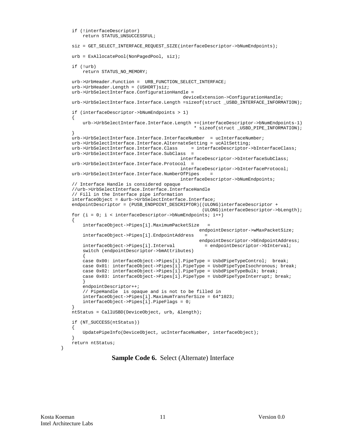```
 if (!interfaceDescriptor)
        return STATUS_UNSUCCESSFUL;
    siz = GET_SELECT_INTERFACE_REQUEST_SIZE(interfaceDescriptor->bNumEndpoints);
    urb = ExAllocatePool(NonPagedPool, siz);
    if (!urb)
        return STATUS_NO_MEMORY;
    urb->UrbHeader.Function = URB_FUNCTION_SELECT_INTERFACE;
    urb->UrbHeader.Length = (USHORT)siz;
    urb->UrbSelectInterface.ConfigurationHandle =
                                             deviceExtension->ConfigurationHandle;
    urb->UrbSelectInterface.Interface.Length =sizeof(struct _USBD_INTERFACE_INFORMATION);
    if (interfaceDescriptor->bNumEndpoints > 1)
   \{ urb->UrbSelectInterface.Interface.Length +=(interfaceDescriptor->bNumEndpoints-1)
                                                  * sizeof(struct _USBD_PIPE_INFORMATION);
 }
   urb->UrbSelectInterface.Interface.InterfaceNumber = ucInterfaceNumber;
    urb->UrbSelectInterface.Interface.AlternateSetting = ucAltSetting;
    urb->UrbSelectInterface.Interface.Class = interfaceDescriptor->bInterfaceClass;
    urb->UrbSelectInterface.Interface.SubClass =
                                             interfaceDescriptor->bInterfaceSubClass;
   urb->UrbSelectInterface.Interface.Protocol =
                                            interfaceDescriptor->bInterfaceProtocol;
    urb->UrbSelectInterface.Interface.NumberOfPipes =
                                            interfaceDescriptor->bNumEndpoints;
    // Interface Handle is considered opaque
    //urb->UrbSelectInterface.Interface.InterfaceHandle
    // Fill in the Interface pipe information
    interfaceObject = &urb->UrbSelectInterface.Interface;
   endpointDescriptor = (PUSB_ENDPOINT_DESCRIPTOR)((ULONG)interfaceDescriptor +
                                                     (ULONG)interfaceDescriptor->bLength);
   for (i = 0; i < interfaceDescriptor->bNumEndpoints; i++)
 {
        interfaceObject->Pipes[i].MaximumPacketSize =
                                                    endpointDescriptor->wMaxPacketSize;
        interfaceObject->Pipes[i].EndpointAddress =
                                                    endpointDescriptor->bEndpointAddress;
        interfaceObject->Pipes[i].Interval = endpointDescriptor->bInterval;
        switch (endpointDescriptor->bmAttributes)
\{ case 0x00: interfaceObject->Pipes[i].PipeType = UsbdPipeTypeControl; break;
        case 0x01: interfaceObject->Pipes[i].PipeType = UsbdPipeTypeIsochronous; break;
        case 0x02: interfaceObject->Pipes[i].PipeType = UsbdPipeTypeBulk; break;
        case 0x03: interfaceObject->Pipes[i].PipeType = UsbdPipeTypeInterrupt; break;
 }
        endpointDescriptor++;
        // PipeHandle is opaque and is not to be filled in
        interfaceObject->Pipes[i].MaximumTransferSize = 64*1023;
        interfaceObject->Pipes[i].PipeFlags = 0;
 }
    ntStatus = CallUSBD(DeviceObject, urb, &length);
    if (NT_SUCCESS(ntStatus))
    {
        UpdatePipeInfo(DeviceObject, ucInterfaceNumber, interfaceObject);
 }
    return ntStatus;
```
**Sample Code 6.** Select (Alternate) Interface

}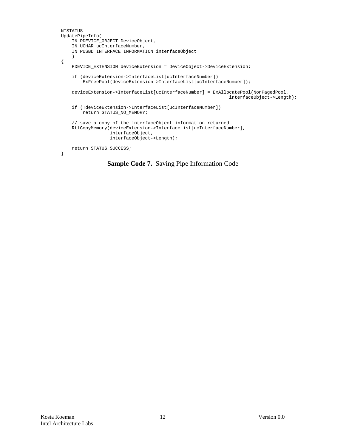```
NTSTATUS
UpdatePipeInfo(
    IN PDEVICE_OBJECT DeviceObject,
     IN UCHAR ucInterfaceNumber,
     IN PUSBD_INTERFACE_INFORMATION interfaceObject
     )
{
     PDEVICE_EXTENSION deviceExtension = DeviceObject->DeviceExtension;
     if (deviceExtension->InterfaceList[ucInterfaceNumber])
         ExFreePool(deviceExtension->InterfaceList[ucInterfaceNumber]);
     deviceExtension->InterfaceList[ucInterfaceNumber] = ExAllocatePool(NonPagedPool,
                                                                 interfaceObject->Length);
     if (!deviceExtension->InterfaceList[ucInterfaceNumber])
         return STATUS_NO_MEMORY;
     // save a copy of the interfaceObject information returned
     RtlCopyMemory(deviceExtension->InterfaceList[ucInterfaceNumber],
                   interfaceObject,
                   interfaceObject->Length);
     return STATUS_SUCCESS;
}
```
**Sample Code 7.** Saving Pipe Information Code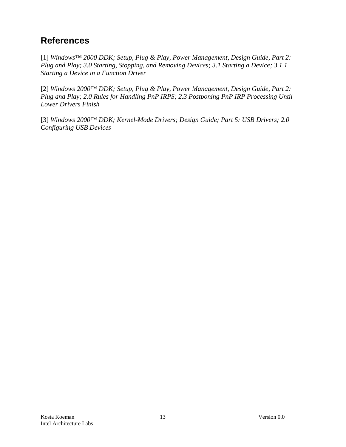# **References**

[1] *Windows™ 2000 DDK; Setup, Plug & Play, Power Management, Design Guide, Part 2: Plug and Play; 3.0 Starting, Stopping, and Removing Devices; 3.1 Starting a Device; 3.1.1 Starting a Device in a Function Driver*

[2] *Windows 2000™ DDK; Setup, Plug & Play, Power Management, Design Guide, Part 2: Plug and Play; 2.0 Rules for Handling PnP IRPS; 2.3 Postponing PnP IRP Processing Until Lower Drivers Finish*

[3] *Windows 2000™ DDK; Kernel-Mode Drivers; Design Guide; Part 5: USB Drivers; 2.0 Configuring USB Devices*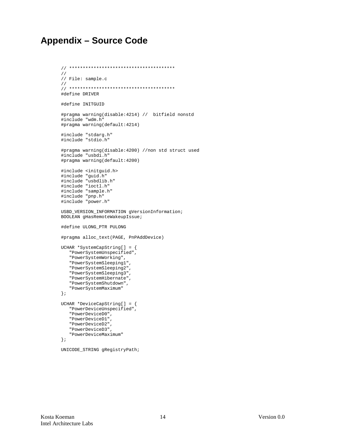## **Appendix - Source Code**

```
\frac{1}{2}// File: sample.c
\frac{1}{2}#define DRIVER
#define INITGUID
#pragma warning(disable: 4214) // bitfield nonstd
#include "wdm.h"
#pragma warning(default:4214)
#include "stdarg.h"
#include "stdio.h"
#pragma warning(disable: 4200) //non std struct used
#include "usbdi.h"
#pragma warning(default:4200)
#include <initguid.h>
#include "guid.h"
#include "usbdlib.h"
#include "ioctl.h"
#include "sample.h"<br>#include "pnp.h"
#include "power.h"
USBD_VERSION_INFORMATION gVersionInformation;
BOOLEAN gHasRemoteWakeupIssue;
#define ULONG_PTR PULONG
#pragma alloc_text(PAGE, PnPAddDevice)
UCHAR *SystemCapString[] = {
  "PowerSystemUnspecified",
  "PowerSystemWorking",
  "PowerSystemSleeping1",
  "PowerSystemSleeping2",
  "PowerSystemSleeping3",
  "PowerSystemHibernate",
   "PowerSystemShutdown",
   "PowerSystemMaximum"
\} ;
UCHAR *DeviceCapString[] = {
  "PowerDeviceUnspecified",
  "PowerDeviceD0",
  "PowerDeviceD1",
  "PowerDeviceD2",
  "PowerDeviceD3",
  "PowerDeviceMaximum"
\} ;
```

```
UNICODE_STRING gRegistryPath;
```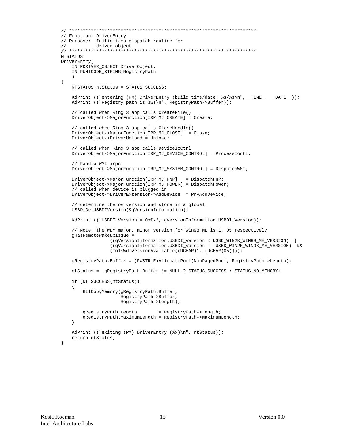```
// Function: DriverEntry
// Purpose: Initializes dispatch routine for
\frac{1}{2}driver object
NTSTATUS
DriverEntry(
   IN PDRIVER_OBJECT DriverObject,
   IN PUNICODE_STRING RegistryPath
\{NTSTATUS ntStatus = STATUS_SUCCESS;
   KdPrint (("entering (PM) DriverEntry (build time/date: %s/%s\n",_TIME__,_DATE__));
   KdPrint (("Registry path is %ws\n", RegistryPath->Buffer));
    // called when Ring 3 app calls CreateFile()
   DriverObject->MajorFunction[IRP_MJ_CREATE] = Create;
    // called when Ring 3 app calls CloseHandle()
   DriverObject->MajorFunction[IRP_MJ_CLOSE] = Close;
   DriverObject->DriverUnload = Unload;
    // called when Ring 3 app calls DeviceIoCtrl
   DriverObject->MajorFunction[IRP_MJ_DEVICE_CONTROL] = ProcessIoctl;
    // handle WMI irps
   DriverObject->MajorFunction[IRP_MJ_SYSTEM_CONTROL] = DispatchWMI;
   \texttt{DriverObject-MAjorFunction} [\texttt{IRP\_MJ\_PNP}] \quad = \texttt{DispatchPnP} \, ;DriverObject->MajorFunction[IRP_MJ_POWER] = DispatchPower;
    // called when device is plugged in
   DriverObject->DriverExtension->AddDevice = PnPAddDevice;
    // determine the os version and store in a global.
   USBD_GetUSBDIVersion(&gVersionInformation);
   KdPrint (("USBDI Version = 0x%x", gVersionInformation.USBDI_Version));
    // Note: the WDM major, minor version for Win98 ME is 1, 05 respectively
   gHasRemoteWakeupIssue =
                 ((gVersionInformation.USBDI_Version < USBD_WIN2K_WIN98_ME_VERSION) ||
                 ((gVersionInformation.USBDI_Version == USBD_WIN2K_WIN98_ME_VERSION) & &
                 (IoIsWdmVersionAvailable((UCHAR)1, (UCHAR)05))));
   gRegistryPath.Buffer = (PWSTR)ExAllocatePool(NonPagedPool, RegistryPath->Length);
   ntStatus = qReqistryPath.Buffer != NULL ? STATUS_SUCCESS : STATUS_NO_MEMORY;
   if (NT SUCCESS(ntStatus))
   \{RtlCopyMemory(gRegistryPath.Buffer,
                     RegistryPath->Buffer,
                     RegistryPath->Length);
       gRegistryPath.Length
                              = RegistryPath->Length;
       gRegistryPath.MaximumLength = RegistryPath->MaximumLength;
   \left\{ \right\}KdPrint (("exiting (PM) DriverEntry (%x)\n", ntStatus));
   return ntStatus;
```

```
\mathcal{E}
```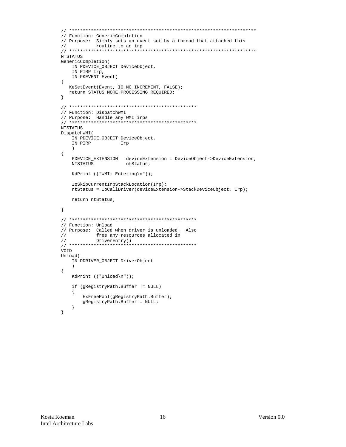```
// Function: GenericCompletion
// Purpose: Simply sets an event set by a thread that attached this
\frac{1}{2}routine to an irp
NTSTATUS
GenericCompletion(
  IN PDEVICE_OBJECT DeviceObject,
   IN PIRP Irp,
  IN PKEVENT Event)
\{KeSetEvent(Event, IO_NO_INCREMENT, FALSE);
  return STATUS_MORE_PROCESSING_REQUIRED;
\left\{ \right.// Function: DispatchWMI
// Purpose: Handle any WMI irps
NTSTATUS
DispatchWMI(
  IN PDEVICE_OBJECT DeviceObject,
   IN PIRP
           Irp
   \rightarrow\{PDEVICE_EXTENSION deviceExtension = DeviceObject->DeviceExtension;
   NTSTATUS
                  ntStatus;
   KdPrint (("WMI: Entering\n"));
   IoSkipCurrentIrpStackLocation(Irp);
  ntStatus = IoCallDriver(deviceExtension->StackDeviceObject, Irp);
   return ntStatus;
\}// Function: Unload
// Purpose: Called when driver is unloaded. Also
\frac{1}{2}free any resources allocated in
         DriverEntry()
\frac{1}{2}VOID
Unload(
  IN PDRIVER_OBJECT DriverObject
   \lambda\{KdPrint (("Unload\n'');if (gRegistryPath.Buffer != NULL)
   \{ExFreePool(gRegistryPath.Buffer);
      gRegistryPath.Buffer = NULL;
   \left\{ \right\}\}
```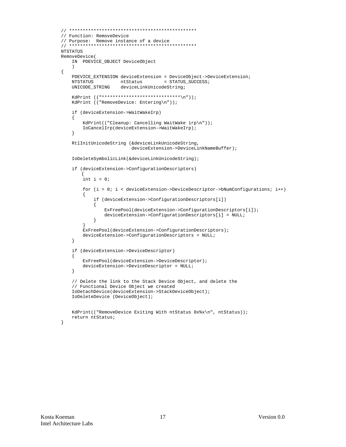```
// Function: RemoveDevice
// Purpose: Remove instance of a device
. * * * * * * * * * * * *
NTSTATUS
RemoveDevice(
   IN PDEVICE_OBJECT DeviceObject
    \rightarrow\{PDEVICE_EXTENSION deviceExtension = DeviceObject->DeviceExtension;
   NTSTATUS
                    ntStatus
                                   = STATUS_SUCCESS;
                    deviceLinkUnicodeString;
   UNICODE_STRING
    KdPrint (("****************************\n"));
    KdPrint (("RemoveDevice: Entering\n"));
    if (deviceExtension->WaitWakeIrp)
    \mathcal{A}KdPrint(("Cleanup: Cancelling WaitWake irp\n"));
        IoCancelIrp(deviceExtension->WaitWakeIrp);
    \left\{ \right\}RtlInitUnicodeString (&deviceLinkUnicodeString,
                          deviceExtension->DeviceLinkNameBuffer);
    IoDeleteSymbolicLink(&deviceLinkUnicodeString);
    if (deviceExtension->ConfigurationDescriptors)
        int i = 0;
        for (i = 0; i < deviceExtension->DeviceDescriptor->DNumConfigurations; i++)
            if (deviceExtension->ConfigurationDescriptors[i])
            \{ExFreePool(deviceExtension->ConfigurationDescriptors[i]);
                deviceExtension->ConfigurationDescriptors[i] = NULL;
            \left\{ \right\}\left\{ \right.ExFreePool(deviceExtension->ConfigurationDescriptors);
        deviceExtension->ConfigurationDescripts = NULL;\}if (deviceExtension->DeviceDescriptor)
    \left\{ \right.ExFreePool(deviceExtension->DeviceDescriptor);
        deviceExtension->DeviceDescriptor = NULL;
    \rightarrow// Delete the link to the Stack Device Object, and delete the
    // Functional Device Object we created
    IoDetachDevice(deviceExtension->StackDeviceObject);
    IoDeleteDevice (DeviceObject);
   KdPrint(("RemoveDevice Exiting With ntStatus 0x%x\n", ntStatus));
    return ntStatus;
```
 $\mathcal{E}$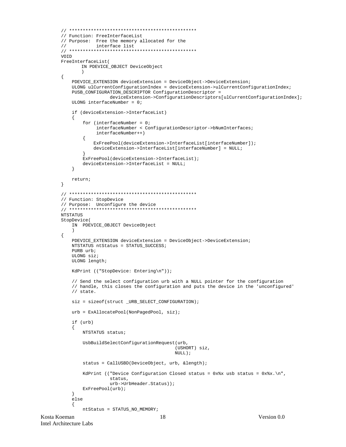```
// Function: FreeInterfaceList
// Purpose: Free the memory allocated for the
\frac{1}{2}interface list
VOID
FreeInterfaceList(
      IN PDEVICE_OBJECT DeviceObject
       \lambda\{PDEVICE_EXTENSION deviceExtension = DeviceObject->DeviceExtension;
   ULONG ulCurrentConfigurationIndex = deviceExtension->ulCurrentConfigurationIndex;
   PUSB_CONFIGURATION_DESCRIPTOR ConfigurationDescriptor =
                deviceExtension->ConfigurationDescriptors[ulCurrentConfigurationIndex];
   ULONG interfaceNumber = 0;
   if (deviceExtension->InterfaceList)
   \left\{ \right.for (interfaceNumber = 0;
            interfaceNumber < ConfigurationDescriptor->bNumInterfaces;
            interfaceNumber++)
       €
           ExFreePool(deviceExtension->InterfaceList[interfaceNumber]);
           deviceExtension->InterfaceList[interfaceNumber] = NULL;
       ł
       ExFreePool(deviceExtension->InterfaceList);
       deviceExtension->InterfaceList = NULL;
   \}return;
\}// Function: StopDevice
// Purpose: Unconfigure the device
NTSTATUS
StopDevice(
   IN PDEVICE OBJECT DeviceObject
   \rightarrow\{PDEVICE_EXTENSION deviceExtension = DeviceObject->DeviceExtension;
   NTSTATUS ntStatus = STATUS_SUCCESS;PURB urb;
   ULONG siz;
   ULONG length;
   KdPrint (("StopDevice: Entering\n"));
   // Send the select configuration urb with a NULL pointer for the configuration
   // handle, this closes the configuration and puts the device in the 'unconfigured'
   // state.
   size = sizeof (struct \n<a href="#">URB\_SELECT \n<a href="#">CONFIGURATION</a>)urb = ExAllocatePool(NonPagedPool, siz);
   if (urb)
   \left\{ \right.NTSTATUS status;
       UsbBuildSelectConfigurationRequest(urb,
                                        (USHORT) siz,
                                       NULL);
       status = CallUSBD(DeviceObject, urb, &length);
       KdPrint (("Device Configuration Closed status = 0x*x usb status = 0x*x.\n",
                 status,
                 urb->UrbHeader.Status));
       ExFreePool(urb);
   - }
   else
       ntStatus = STATUS_NO_MEMORY;
```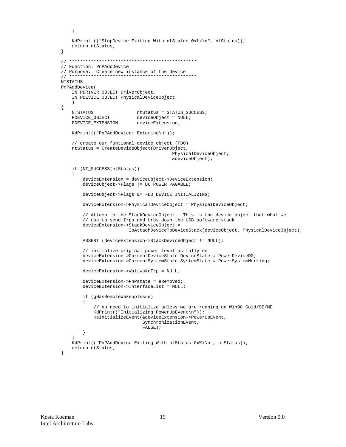```
\left\{ \right\}KdPrint (("StopDevice Exiting With ntStatus 0x%x\n", ntStatus));
    return ntStatus;
\}// Function: PnPAddDevice
// Purpose: Create new instance of the device<br>// Purpose: Create new instance of the device
NTSTATUS
PnPAddDevice(
    IN PDRIVER_OBJECT DriverObject,
    IN PDEVICE OBJECT PhysicalDeviceObject
    \lambda\{NTSTATUS
                            ntStatus = STATUS_SUCCESS;
    PDEVICE_OBJECT
                            deviceObject = NULL;deviceExtension;
    PDEVICE_EXTENSION
    KdPrint(("PnPAddDevice: Entering\n"));
    // create our funtional device object (FDO)
    ntStatus = CreateDeviceObject(DriverObject,
                                          PhysicalDeviceObject,
                                          &deviceObject);
    if (NT_SUCCESS(ntStatus))
    \left\{ \right.deviceExtension = deviceObject->DeviceExtension;
        deviceObject \rightarrow False = DO\_POWER\_PAGABLE;
        deviceObject->Flags &= ~DO_DEVICE_INITIALIZING;
        deviceExtension->PhysicalDeviceObject = PhysicalDeviceObject;
        // Attach to the StackDeviceObject. This is the device object that what we
        // use to send Irps and Urbs down the USB software stack
        deviceExtension->StackDeviceObject =
                         IoAttachDeviceToDeviceStack(deviceObject, PhysicalDeviceObject);
        ASSERT (deviceExtension->StackDeviceObject != NULL);
        // initialize original power level as fully on
        deviceExtension->CurrentDeviceState.DeviceState = PowerDeviceD0;
        deviceExtension->CurrentSystemState.SystemState = PowerSystemWorking;
        deviceExtension->WaitWakeIrp = NULL;
        deviceExtension->PhPstate = eRemoveddeviceExtension->InterfaceList = NULL;
        if (gHasRemoteWakeupIssue)
        \{// no need to initialize unless we are running on Win98 Gold/SE/ME
            KdPrint(("Initializing PowerUpEvent\n"));
            KeInitializeEvent(&deviceExtension->PowerUpEvent,
                               SynchronizationEvent,
                               FALSE);
        \}KdPrint(("PnPAddDevice Exiting With ntStatus 0x%x\n", ntStatus));
    return ntStatus;
\}
```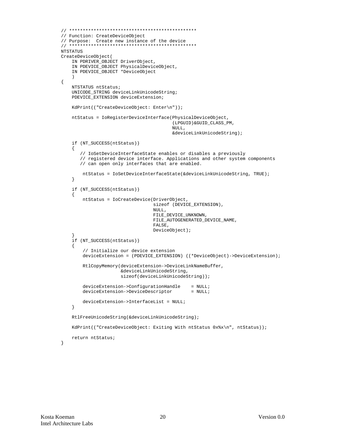```
// ***********************************************
// Function: CreateDeviceObject
// Purpose: Create new instance of the device
// ***********************************************
NTSTATUS
CreateDeviceObject(
     IN PDRIVER_OBJECT DriverObject,
     IN PDEVICE_OBJECT PhysicalDeviceObject,
     IN PDEVICE_OBJECT *DeviceObject
\overline{\phantom{a}} NTSTATUS ntStatus;
     UNICODE_STRING deviceLinkUnicodeString;
    PDEVICE EXTENSION deviceExtension;
     KdPrint(("CreateDeviceObject: Enter\n"));
     ntStatus = IoRegisterDeviceInterface(PhysicalDeviceObject,
                                             (LPGUID)&GUID_CLASS_PM,
 NULL,
                                             &deviceLinkUnicodeString);
     if (NT_SUCCESS(ntStatus))
     {
        // IoSetDeviceInterfaceState enables or disables a previously
        // registered device interface. Applications and other system components
        // can open only interfaces that are enabled.
         ntStatus = IoSetDeviceInterfaceState(&deviceLinkUnicodeString, TRUE);
     }
     if (NT_SUCCESS(ntStatus))
     {
         ntStatus = IoCreateDevice(DriverObject,
                                     sizeof (DEVICE_EXTENSION),
                                     NULL,
                                     FILE_DEVICE_UNKNOWN,
                                     FILE_AUTOGENERATED_DEVICE_NAME,
                                     FALSE,
                                     DeviceObject);
 }
     if (NT_SUCCESS(ntStatus))
    \left\{ \right. // Initialize our device extension
         deviceExtension = (PDEVICE_EXTENSION) ((*DeviceObject)->DeviceExtension);
         RtlCopyMemory(deviceExtension->DeviceLinkNameBuffer,
                        &deviceLinkUnicodeString,
                        sizeof(deviceLinkUnicodeString));
        deviceExtension->ConfigurationHandle = NULL;<br>deviceExtension->DeviceDescriptor = NULL;
        deviceExtension->DeviceDescriptor
         deviceExtension->InterfaceList = NULL;
     }
     RtlFreeUnicodeString(&deviceLinkUnicodeString);
    KdPrint(("CreateDeviceObject: Exiting With ntStatus 0x%x\n", ntStatus));
     return ntStatus;
```

```
}
```
{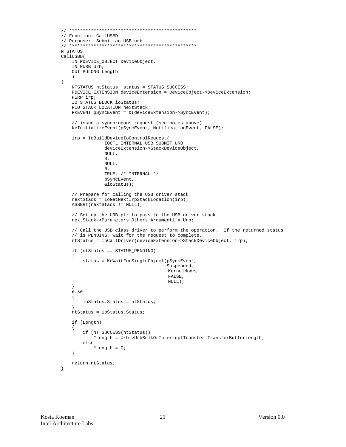```
// Function: CallUSBD
// Purpose: Submit an USB urb
******************************
NTSTATUS
CallUSBD(
   IN PDEVICE_OBJECT DeviceObject,
    IN PURB Urb,
   OUT PULONG Length
    NTSTATUS ntStatus, status = STATUS_SUCCESS;
    PDEVICE_EXTENSION deviceExtension = DeviceObject->DeviceExtension;
    PIRP irp;
    IO_STATUS_BLOCK ioStatus;
    PIO STACK LOCATION nextStack;
    PKEVENT pSyncEvent = \& (deviceExtension->SyncEvent);
    // issue a synchronous request (see notes above)
    KeInitializeEvent(pSyncEvent, NotificationEvent, FALSE);
    irp = IoBuildDeviceIoControlRequest(
                IOCTL_INTERNAL_USB_SUBMIT_URB,
                deviceExtension->StackDeviceObject,
               NULL,
               \Omega.
               NULL,
               0 ,
               TRUE , \hspace{0.1 cm} /* INTERNAL */
               pSyncEvent,
                &ioStatus);
    // Prepare for calling the USB driver stack
    nextStack = IoGetNextIrpStackLocation(irp);
    ASSERT(nextStack != NULL);// Set up the URB ptr to pass to the USB driver stack
    nextStack->Parameters.Others.Argument1 = Urb;
    // Call the USB class driver to perform the operation. If the returned status
    // is PENDING, wait for the request to complete.
    ntStatus = IoCallDriver(deviceExtension->StackDeviceObject, irp);
    if (ntStatus == STATUS_PENDING)
    \{status = KeWaitForSingleObject(pSyncEvent,
                                       Suspended,
                                       KernelMode,
                                       FALSE.
                                       NULL);
    else
    \{ioStatus. Status = ntStatus;
    ntStatus = ioStatus.Status;
    if (Length)
    \left\{ \right.if (NT_SUCCESS(ntStatus))
            *Length = Urb->UrbBulkOrInterruptTransfer.TransferBufferLength;
        else
            *Length = 0;
    \rightarrowreturn ntStatus;
```
 $\mathcal{E}$ 

 $\{$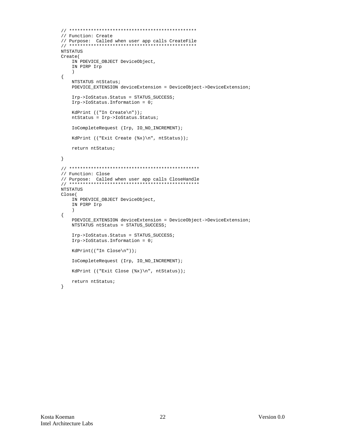```
// Function: Create
// Purpose: Called when user app calls CreateFile
NTSTATUS
Create(
  IN PDEVICE_OBJECT DeviceObject,
   IN PIRP Irp
   \rightarrow\{NTSTATUS ntStatus;
   PDEVICE_EXTENSION deviceExtension = DeviceObject->DeviceExtension;
   Irp->IoStatus.Status = STATUS SUCCESS;
   Irp->IoStatus.Information = 0;
   KdPrint (("In Create\nu)');ntStatus = Irp->IoStatus.Status;
   IoCompleteRequest (Irp, IO_NO_INCREMENT);
   KdPrint (("Exit Create (%x)\n", ntStatus));
   return ntStatus;
\}// Function: Close
NTSTATUS
Close(IN PDEVICE_OBJECT DeviceObject,
   IN PIRP Irp
   \rightarrow\{PDEVICE_EXTENSION deviceExtension = DeviceObject->DeviceExtension;
   NTSTATUS ntStatus = STATUS SUCCESS;
   Irp->IoStatus.Status = STATUS_SUCCESS;
   Irp->IoStatus.Information = 0;
   \verb|KdPrint(( "In Close\n" ) );IoCompleteRequest (Irp, IO_NO_INCREMENT);
   KdPrint (("Exit Close (\&x)\n", ntStatus));
   return ntStatus;
```
 $\left\{ \right.$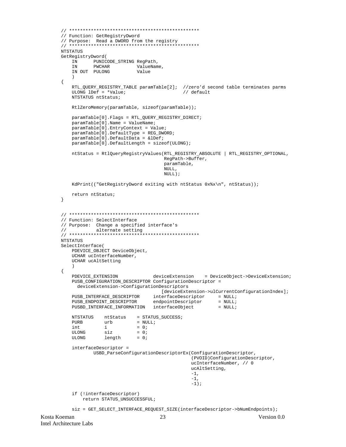```
// Function: GetRegistryDword
// Purpose: Read a DWORD from the registry
NTSTATUS
GetRegistryDword(
          PUNICODE_STRING RegPath,
   TN 7
                   ValueName,
   IN
           PWCHAR
   IN OUT PULONG
                          Value
    \lambda\{RTL_QUERY_REGISTRY_TABLE paramTable[2]; //zero'd second table terminates parms
   ULONG lDef = *Value// default
   NTSTATUS ntStatus;
   RtlZeroMemory(paramTable, sizeof(paramTable));
   paramTable[0].Flags = RTL_QUERY_REGISTRY_DIRECT;
   paramTable[0].Name = ValueName;
   paramTable[0]. EntryContext = Value;
   paramTable[0].DefaultType = REG_DWORD;
   paramTable[0].DefaultData = \&1DefiparamTable[0].DefaultLength = sizeof(ULONG);
   ntStatus = RtlQueryRegistryValues(RTL_REGISTRY_ABSOLUTE | RTL_REGISTRY_OPTIONAL,
                                    RegPath->Buffer,
                                    paramTable,
                                    NULL,
                                    \texttt{NULL} ) iKdPrint(("GetRegistryDword exiting with ntStatus 0x%x\n", ntStatus));
   return ntStatus;
\}// Function: SelectInterface
// Purpose: Change a specified interface's
         alternate setting
\frac{1}{2}NTSTATUS
SelectInterface(
   PDEVICE_OBJECT DeviceObject,
   UCHAR ucInterfaceNumber,
   UCHAR ucAltSetting
   \rightarrow\{PDEVICE EXTENSION
                                                 = DeviceObject->DeviceExtension;
                               deviceExtension
   PUSB_CONFIGURATION_DESCRIPTOR ConfigurationDescriptor =
     deviceExtension->ConfigurationDescriptors
                                   [deviceExtension->ulCurrentConfigurationIndex];
   PUSB_INTERFACE_DESCRIPTOR interfaceDescriptor = NULL;<br>PUSB_ENDPOINT_DESCRIPTOR endpointDescriptor = NULL;<br>PUSBD_INTERFACE_INFORMATION interfaceObject = NULL;
   NTSTATUS
               \verb|ntStatus = STATUS_SUCCES|;\text{urb} \qquad \qquad = \text{NULL} \, ;PHRR
   int
               i= 0;ULONG
               \sin z= 0;ULONG
               length
                          = 0interfaceDescriptor =
           USBD_ParseConfigurationDescriptorEx(ConfigurationDescriptor,
                                              (PVOID)ConfigurationDescriptor,
                                              ucInterfaceNumber, // 0
                                              ucAltSetting,
                                              -1,
                                              -1,
                                              -1);
   if (!interfaceDescriptor)
       return STATUS_UNSUCCESSFUL;
```
siz = GET\_SELECT\_INTERFACE\_REQUEST\_SIZE(interfaceDescriptor->bNumEndpoints);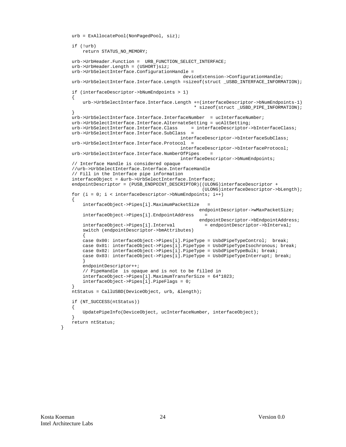```
 urb = ExAllocatePool(NonPagedPool, siz);
    if (!urb)
        return STATUS_NO_MEMORY;
    urb->UrbHeader.Function = URB_FUNCTION_SELECT_INTERFACE;
    urb->UrbHeader.Length = (USHORT)siz;
    urb->UrbSelectInterface.ConfigurationHandle =
                                              deviceExtension->ConfigurationHandle;
   urb->UrbSelectInterface.Interface.Length =sizeof(struct _USBD_INTERFACE_INFORMATION);
    if (interfaceDescriptor->bNumEndpoints > 1)
    {
        urb->UrbSelectInterface.Interface.Length +=(interfaceDescriptor->bNumEndpoints-1)
                                                   * sizeof(struct _USBD_PIPE_INFORMATION);
 }
    urb->UrbSelectInterface.Interface.InterfaceNumber = ucInterfaceNumber;
    urb->UrbSelectInterface.Interface.AlternateSetting = ucAltSetting;
    urb->UrbSelectInterface.Interface.Class = interfaceDescriptor->bInterfaceClass;
    urb->UrbSelectInterface.Interface.SubClass =
                                             interfaceDescriptor->bInterfaceSubClass;
    urb->UrbSelectInterface.Interface.Protocol =
                                             interfaceDescriptor->bInterfaceProtocol;
    urb->UrbSelectInterface.Interface.NumberOfPipes =
                                             interfaceDescriptor->bNumEndpoints;
    // Interface Handle is considered opaque
    //urb->UrbSelectInterface.Interface.InterfaceHandle
    // Fill in the Interface pipe information
    interfaceObject = &urb->UrbSelectInterface.Interface;
    endpointDescriptor = (PUSB_ENDPOINT_DESCRIPTOR)((ULONG)interfaceDescriptor +
                                                      (ULONG)interfaceDescriptor->bLength);
   for (i = 0; i < interfaceDescriptor->bNumEndpoints; i++)
    {
        interfaceObject->Pipes[i].MaximumPacketSize =
                                                     endpointDescriptor->wMaxPacketSize;
        interfaceObject->Pipes[i].EndpointAddress =
                                                     endpointDescriptor->bEndpointAddress;
        interfaceObject->Pipes[i].Interval = endpointDescriptor->bInterval;
        switch (endpointDescriptor->bmAttributes)
\left\{ \begin{array}{c} \end{array} \right.case 0x00: interfaceObject->Pipes[i].PipeType = UsbdPipeTypeControl; break;
        case 0x01: interfaceObject->Pipes[i].PipeType = UsbdPipeTypeIsochronous; break;
        case 0x02: interfaceObject->Pipes[i].PipeType = UsbdPipeTypeBulk; break;
       case 0x03: interfaceObject->Pipes[i].PipeType = UsbdPipeTypeInterrupt; break;
 }
        endpointDescriptor++;
         // PipeHandle is opaque and is not to be filled in
        interfaceObject->Pipes[i].MaximumTransferSize = 64*1023;
        interfaceObject->Pipes[i].PipeFlags = 0;
 }
    ntStatus = CallUSBD(DeviceObject, urb, &length);
    if (NT_SUCCESS(ntStatus))
    {
        UpdatePipeInfo(DeviceObject, ucInterfaceNumber, interfaceObject);
 }
    return ntStatus;
```
}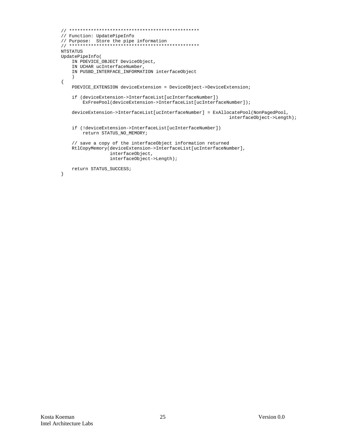```
// ************************************************
// Function: UpdatePipeInfo
// Purpose: Store the pipe information
// ************************************************
NTSTATUS
UpdatePipeInfo(
    IN PDEVICE_OBJECT DeviceObject,
     IN UCHAR ucInterfaceNumber,
     IN PUSBD_INTERFACE_INFORMATION interfaceObject
     )
{
     PDEVICE_EXTENSION deviceExtension = DeviceObject->DeviceExtension;
     if (deviceExtension->InterfaceList[ucInterfaceNumber])
        ExFreePool(deviceExtension->InterfaceList[ucInterfaceNumber]);
     deviceExtension->InterfaceList[ucInterfaceNumber] = ExAllocatePool(NonPagedPool,
                                                                interfaceObject->Length);
     if (!deviceExtension->InterfaceList[ucInterfaceNumber])
         return STATUS_NO_MEMORY;
     // save a copy of the interfaceObject information returned
     RtlCopyMemory(deviceExtension->InterfaceList[ucInterfaceNumber],
                   interfaceObject,
                   interfaceObject->Length);
     return STATUS_SUCCESS;
}
```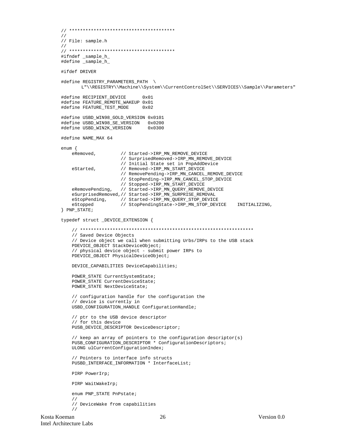```
// ***************************************
//
// File: sample.h
//
// ***************************************
#ifndef _sample_h_
#define _sample_h_
#ifdef DRIVER
#define REGISTRY_PARAMETERS_PATH \
       L"\\REGISTRY\\Machine\\System\\CurrentControlSet\\SERVICES\\Sample\\Parameters"
#define RECIPIENT_DEVICE 0x01
#define FEATURE_REMOTE_WAKEUP 0x01
#define FEATURE TEST MODE 0x02
#define USBD_WIN98_GOLD_VERSION 0x0101
#define USBD_WIN98_SE_VERSION 0x0200
#define USBD_WIN2K_VERSION
#define NAME_MAX 64
enum {
     eRemoved, // Started->IRP_MN_REMOVE_DEVICE
                        // SurprisedRemoved->IRP_MN_REMOVE_DEVICE
                        // Initial State set in PnpAddDevice
    eStarted, \frac{1}{\sqrt{R}} Removed->IRP_MN_START_DEVICE
                        // RemovePending->IRP_MN_CANCEL_REMOVE_DEVICE
                        // StopPending->IRP_MN_CANCEL_STOP_DEVICE
    // Stopped->IRP_MN_START_DEVICE<br>eRemovePending, // Started->IRP_MN_QUERY_REMOVE
                      // Started->IRP_MN_QUERY_REMOVE_DEVICE
     eSurprisedRemoved,// Started->IRP_MN_SURPRISE_REMOVAL
    eStopPending, // Started->IRP_MN_QUERY_STOP_DEVICE<br>eStopped // StopPendingState->IRP_MN_STOP_DEV
                       eStopped // StopPendingState->IRP_MN_STOP_DEVICE INITIALIZING,
} PNP_STATE;
typedef struct _DEVICE_EXTENSION {
     // ****************************************************************
     // Saved Device Objects
     // Device object we call when submitting Urbs/IRPs to the USB stack
     PDEVICE_OBJECT StackDeviceObject;
     // physical device object - submit power IRPs to
     PDEVICE_OBJECT PhysicalDeviceObject;
     DEVICE_CAPABILITIES DeviceCapabilities;
     POWER_STATE CurrentSystemState;
    POWER STATE CurrentDeviceState;
    POWER STATE NextDeviceState;
     // configuration handle for the configuration the
     // device is currently in
     USBD_CONFIGURATION_HANDLE ConfigurationHandle;
     // ptr to the USB device descriptor
     // for this device
     PUSB_DEVICE_DESCRIPTOR DeviceDescriptor;
     // keep an array of pointers to the configuration descriptor(s)
    PUSB_CONFIGURATION_DESCRIPTOR * ConfigurationDescriptors;
     ULONG ulCurrentConfigurationIndex;
     // Pointers to interface info structs
     PUSBD_INTERFACE_INFORMATION * InterfaceList;
     PIRP PowerIrp;
     PIRP WaitWakeIrp;
     enum PNP_STATE PnPstate;
 //
     // DeviceWake from capabilities
     //
```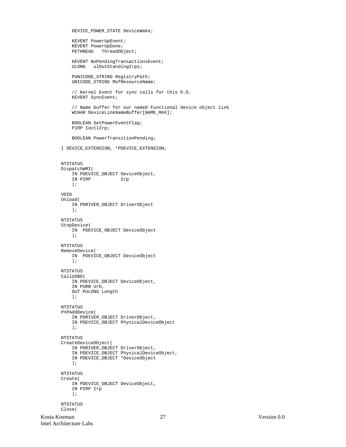```
 DEVICE_POWER_STATE DeviceWake;
     KEVENT PowerUpEvent;
     KEVENT PowerUpDone;
     PETHREAD ThreadObject;
     KEVENT NoPendingTransactionsEvent;
     ULONG ulOutStandingIrps;
     PUNICODE_STRING RegistryPath;
     UNICODE_STRING MofResourceName;
     // Kernel Event for sync calls for this D.O.
     KEVENT SyncEvent;
     // Name buffer for our named Functional device object link
     WCHAR DeviceLinkNameBuffer[NAME_MAX];
     BOOLEAN SetPowerEventFlag;
     PIRP IoctlIrp;
     BOOLEAN PowerTransitionPending;
} DEVICE_EXTENSION, *PDEVICE_EXTENSION;
NTSTATUS
DispatchWMI(
    IN PDEVICE_OBJECT DeviceObject,
     IN PIRP Irp
     );
VOID
Unload(
    IN PDRIVER_OBJECT DriverObject
     );
NTSTATUS
StopDevice(
    IN PDEVICE_OBJECT DeviceObject
     );
NTSTATUS
RemoveDevice(
    IN PDEVICE_OBJECT DeviceObject
     );
NTSTATUS
CallUSBD(
     IN PDEVICE_OBJECT DeviceObject,
     IN PURB Urb,
     OUT PULONG Length
     );
NTSTATUS
PnPAddDevice(
     IN PDRIVER_OBJECT DriverObject,
     IN PDEVICE_OBJECT PhysicalDeviceObject
     );
NTSTATUS
CreateDeviceObject(
     IN PDRIVER_OBJECT DriverObject,
     IN PDEVICE_OBJECT PhysicalDeviceObject,
     IN PDEVICE_OBJECT *DeviceObject
     );
NTSTATUS
Create(
     IN PDEVICE_OBJECT DeviceObject,
     IN PIRP Irp
     );
NTSTATUS
Close(
```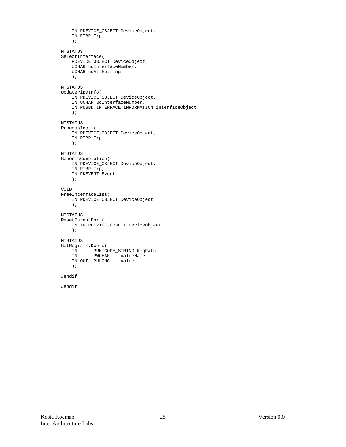```
 IN PDEVICE_OBJECT DeviceObject,
     IN PIRP Irp
     );
NTSTATUS
SelectInterface(
    PDEVICE_OBJECT DeviceObject,
     UCHAR ucInterfaceNumber,
     UCHAR ucAltSetting
     );
NTSTATUS
UpdatePipeInfo(
    IN PDEVICE_OBJECT DeviceObject,
     IN UCHAR ucInterfaceNumber,
     IN PUSBD_INTERFACE_INFORMATION interfaceObject
     );
NTSTATUS
ProcessIoctl(
    IN PDEVICE_OBJECT DeviceObject,
    IN PIRP Irp
     );
NTSTATUS
GenericCompletion(
     IN PDEVICE_OBJECT DeviceObject,
    IN PIRP Irp,
    IN PKEVENT Event
     );
VOID
FreeInterfaceList(
     IN PDEVICE_OBJECT DeviceObject
     );
NTSTATUS
ResetParentPort(
     IN IN PDEVICE_OBJECT DeviceObject
     );
NTSTATUS
GetRegistryDword(
    IN PUNICODE_STRING RegPath,
 IN PWCHAR ValueName,
 IN OUT PULONG Value
     );
#endif
#endif
```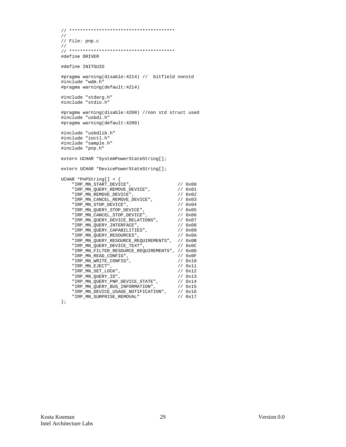```
// ***************************************
//
// File: pnp.c
//
// ***************************************
#define DRIVER
#define INITGUID
#pragma warning(disable:4214) // bitfield nonstd
#include "wdm.h"
#pragma warning(default:4214)
#include "stdarg.h"
#include "stdio.h"
#pragma warning(disable:4200) //non std struct used
#include "usbdi.h"
#pragma warning(default:4200)
#include "usbdlib.h"
#include "ioctl.h"
#include "sample.h"
#include "pnp.h"
extern UCHAR *SystemPowerStateString[];
extern UCHAR *DevicePowerStateString[];
UCHAR *PnPString[] = {
 "IRP_MN_START_DEVICE", // 0x00
 "IRP_MN_QUERY_REMOVE_DEVICE", // 0x01
       \begin{array}{lll} \texttt{'IRP\_MN\_START\_DEVICE''}\,, & \texttt{\textit{1/0}} & \texttt{\textit{0x00}} \\ \texttt{'IRP\_MN\_QUERY\_REMOVE\_DEVICE''}\,, & \texttt{\textit{1/0x01}} \\ \texttt{'IRP\_MN\_REMOVE\_DEVICE''}\,, & \texttt{\textit{1/0x02}} \\ \texttt{'IRP\_MN\_STOP\_DEVICE''}\,, & \texttt{\textit{1/0x03}} \\ \texttt{'IRP\_MN\_STOP\_DEVICE''}\,, & \texttt{\textit{1/0x04}} \\ \end{array}"IRP_MN_REMOVE_DEVICE",<br>"IRP_MN_CANCEL_REMOVE_DEVICE",<br>"IRP_MN_STOP_DEVICE",
 "IRP_MN_STOP_DEVICE", // 0x04
 "IRP_MN_QUERY_STOP_DEVICE", // 0x05
 "IRP_MN_CANCEL_STOP_DEVICE", // 0x06
 "IRP_MN_QUERY_DEVICE_RELATIONS", // 0x07
 "IRP_MN_QUERY_INTERFACE", // 0x08
 "IRP_MN_QUERY_CAPABILITIES", // 0x09
 "IRP_MN_QUERY_RESOURCES", // 0x0A
 "IRP_MN_QUERY_RESOURCE_REQUIREMENTS", // 0x0B
       \begin{array}{lll} \multicolumn{2}{l}{{\small \dots}} & \multicolumn{2}{l}{\small \dots}} & \multicolumn{2}{l}{\small \dots}} \\ \multicolumn{2}{l}{\small \dots} & \multicolumn{2}{l}{\small \dots} & \multicolumn{2}{l}{\small \dots}} \\ \multicolumn{2}{l}{\small \dots} & \multicolumn{2}{l}{\small \dots} & \multicolumn{2}{l}{\small \dots} & \multicolumn{2}{l}{\small \dots} \\ \multicolumn{2}{l}{\small \dots} & \multicolumn{2}{l}{\small \dots} & \multicolumn{2}{l}{\small \dots} & \multicolumn{2}{l}{\small \dots} \\ \mult "IRP_MN_FILTER_RESOURCE_REQUIREMENTS", // 0x0D
       \begin{array}{cc} \texttt{"IRP\_MN\_READ\_CONF1G"}\texttt{,} & \texttt{}/\texttt{/} & \texttt{0x0F} \\ \texttt{"IRP\_MN\_WRITE\_CONF1G"} & \texttt{,} & \texttt{}/\texttt{/} & \texttt{0x10} \end{array}\begin{array}{lll} \texttt{''IRP\_MN} & \texttt{WRITE\_CONTG''} \; , & \texttt{''} & \texttt{''} \; / / & 0 \texttt{x10} \\ \texttt{''IRP\_MN\_EJECT''} \; , & \texttt{''} & \texttt{''} \; / / & 0 \texttt{x11} \\ \end{array}\begin{array}{lll} \texttt{''IRP\_MN\_EJECT''}\,, & & & & \texttt{// 0x11} \\ \texttt{''IRP\_MN\_SET\_LOCK''}\,, & & & & \texttt{// 0x12} \\ \texttt{''IRP\_MN\_QUERY\_ID''}\,, & & & & \texttt{// 0x13} \end{array}"IRP_MN_SET_LOCK",<br>"IRP_MN_QUERY_ID",
 "IRP_MN_QUERY_ID", // 0x13
 "IRP_MN_QUERY_PNP_DEVICE_STATE", // 0x14
       \begin{array}{lll}\n & - & - & - & - & - & - & - \\
\text{''IRP\_MN\_QUERY\_BUS\_INFORMATION''}, & & / & 0 \times 15 \\
 & \text{''IRP\_MN\_DEVICE\_USAGE\_NOTIFICATION''}, & & / & 0 \times 16 \\
\end{array}"IRP_MN_QUERY_BUS_INFORMATION", // UX15<br>"IRP_MN_DEVICE_USAGE_NOTIFICATION", // 0x16<br>"IRP_MN_SURPRISE_REMOVAL" // 0x17
       "IRP_MN_SURPRISE_REMOVAL"
```

```
};
```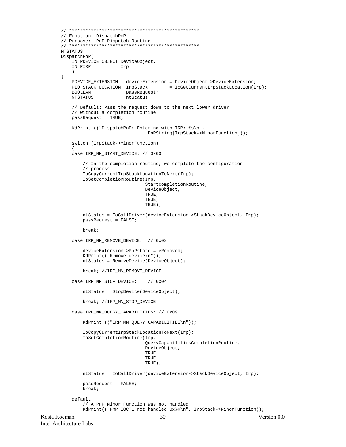```
Kosta Koeman 30 Version 0.0
       // ************************************************
       // Function: DispatchPnP
       // Purpose: PnP Dispatch Routine
       // ***************
       NTSTATUS
       DispatchPnP(
            IN PDEVICE_OBJECT DeviceObject,
            IN PIRP Irp
            )
       {
            PDEVICE_EXTENSION deviceExtension = DeviceObject->DeviceExtension;
           PIO_STACK_LOCATION IrpStack = IoGetCurrentIrpStackLocation(Irp);<br>BOOLEAN passRequest;
           BOOLEAN passRequest;<br>NTSTATUS ntStatus;
                              ntStatus;
            // Default: Pass the request down to the next lower driver
            // without a completion routine
            passRequest = TRUE;
            KdPrint (("DispatchPnP: Entering with IRP: %s\n",
                                        PnPString[IrpStack->MinorFunction]));
            switch (IrpStack->MinorFunction)
       \{ case IRP_MN_START_DEVICE: // 0x00
                // In the completion routine, we complete the configuration
                // process
                IoCopyCurrentIrpStackLocationToNext(Irp);
                IoSetCompletionRoutine(Irp,
                                       StartCompletionRoutine,
                                       DeviceObject,
                                       TRUE,
                                       TRUE,
                                       TRUE);
                ntStatus = IoCallDriver(deviceExtension->StackDeviceObject, Irp);
                passRequest = FALSE;
                break;
            case IRP_MN_REMOVE_DEVICE: // 0x02
                deviceExtension->PnPstate = eRemoved;
                KdPrint(("Remove device\n"));
                ntStatus = RemoveDevice(DeviceObject);
                break; //IRP_MN_REMOVE_DEVICE
            case IRP_MN_STOP_DEVICE: // 0x04
                ntStatus = StopDevice(DeviceObject);
                break; //IRP_MN_STOP_DEVICE
            case IRP_MN_QUERY_CAPABILITIES: // 0x09
                KdPrint (("IRP_MN_QUERY_CAPABILITIES\n"));
                IoCopyCurrentIrpStackLocationToNext(Irp);
                IoSetCompletionRoutine(Irp,
                                       QueryCapabilitiesCompletionRoutine,
                                       DeviceObject,
                                       TRUE,
                                       TRUE,
                                       TRUE);
                ntStatus = IoCallDriver(deviceExtension->StackDeviceObject, Irp);
                passRequest = FALSE;
                break;
            default:
                // A PnP Minor Function was not handled
                KdPrint(("PnP IOCTL not handled 0x%x\n", IrpStack->MinorFunction));
```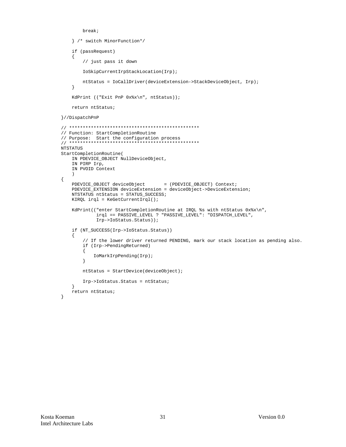```
hreak:
    } /* switch MinorFunction*/
    if (passRequest)
    \mathcal{A}// just pass it down
       IoSkipCurrentIrpStackLocation(Irp);
       ntStatus = IoCallDriver(deviceExtension->StackDeviceObject, Irp);
    \}KdPrint (("Exit PnP 0x%x\n", ntStatus));
    return ntStatus;
}//DispatchPnP
// Function: StartCompletionRoutine
// Purpose: Start the configuration process
NTSTATUS
StartCompletionRoutine(
   IN PDEVICE_OBJECT NullDeviceObject,
   IN PIRP Irp,
   IN PVOID Context
    \rightarrow\{PDEVICE_OBJECT deviceObject
                                  = (PDEVICE_OBJECT) Context;
   PDEVICE_EXTENSION deviceExtension = deviceObject->DeviceExtension;
   NTSTATUS ntStatus = STATUS_SUCCESS;
   KIRQL irql = KefetCurrentIrql();
    KdPrint(("enter StartCompletionRoutine at IRQL %s with ntStatus 0x%x\n",
            irql == PASSIVE_LEVEL ? "PASSIVE_LEVEL": "DISPATCH_LEVEL",
            Irp->IoStatus.Status));
    if (NT_SUCCESS(Irp->IoStatus.Status))
    \left\{ \right.// If the lower driver returned PENDING, mark our stack location as pending also.
       if (Irp->PendingReturned)
       \{IoMarkIrpPending(Irp);
       \}ntStatus = StartDevice(deviceObject);
       Irp->IoStatus.Status = ntStatus;
    return ntStatus;
\mathcal{E}
```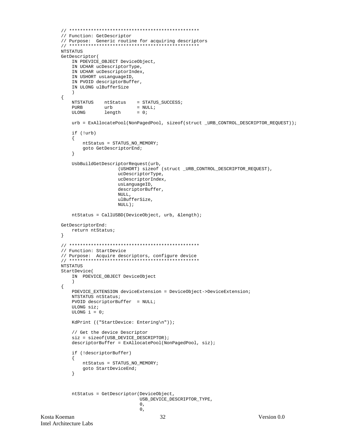```
// Function: GetDescriptor
// Purpose: Generic routine for acquiring descriptors
NTSTATUS
GetDescriptor(
   IN PDEVICE_OBJECT DeviceObject,
   IN UCHAR ucDescriptorType,
   IN UCHAR ucDescriptorIndex,
   IN USHORT usLanguageID,
   IN PVOID descriptorBuffer,
   IN ULONG ulBufferSize
\{NTSTATUS ntStatus = STATUS_SUCCESS;
   PHRR
              urb
                        = NULL;ULONG
              length
                         = 0;urb = ExAllocatePool(NonPagedPool, sizeof(struct_URB_CONTROL_DESCRIPTOR_REQUEST));
   if (!urb)
   \{ntStatus = STATUS_NO_MEMORY;
       goto GetDescriptorEnd;
   \left\{ \right\}UsbBuildGetDescriptorRequest(urb,
                   (USHORT) sizeof (struct _URB_CONTROL_DESCRIPTOR_REQUEST),
                   ucDescriptorType,
                   ucDescriptorIndex,
                   usLanguageID,
                   descriptorBuffer,
                   NULL.
                   ulBufferSize,
                   NULL);
   ntStatus = CallUSBD(DeviceObject, urb, &length);
GetDescriptorEnd:
   return ntStatus;
\}// Function: StartDevice
NTSTATUS
StartDevice(
   IN PDEVICE_OBJECT DeviceObject
   \lambda\{PDEVICE_EXTENSION deviceExtension = DeviceObject->DeviceExtension;
   NTSTATUS ntStatus;
   PVOID descriptorBuffer = NULL;
   ULONG siz;
   ULONG i = 0iKdPrint (("StartDevice: Entering\n"));
   // Get the device Descriptor
   size = sizeof(USE_DENCE_D ESCRIPTOR);descriptorBuffer = ExAllocatedPool(NonPaqedPool, siz);if (!descriptorBuffer)
   \{ntStatus = STATUS_NO_MEMORY;
       goto StartDeviceEnd;
   \}ntStatus = GetDescriptor(DeviceObject,
                          USB_DEVICE_DESCRIPTOR_TYPE,
                          0,\overline{0}.
                                 32
                                                                  Version 0.0
```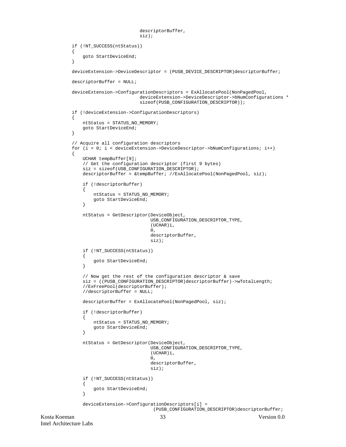```
Kosta Koeman 33 Version 0.0
                                    descriptorBuffer,
                                    siz);
            if (!NT_SUCCESS(ntStatus))
            {
               goto StartDeviceEnd;
            }
            deviceExtension->DeviceDescriptor = (PUSB_DEVICE_DESCRIPTOR)descriptorBuffer;
            descriptorBuffer = NULL;
            deviceExtension->ConfigurationDescriptors = ExAllocatePool(NonPagedPool,
                                    deviceExtension->DeviceDescriptor->bNumConfigurations *
                                    sizeof(PUSB_CONFIGURATION_DESCRIPTOR));
            if (!deviceExtension->ConfigurationDescriptors)
           \mathcal{L} ntStatus = STATUS_NO_MEMORY;
               goto StartDeviceEnd;
            }
            // Acquire all configuration descriptors
            for (i = 0; i < deviceExtension->DeviceDescriptor->bNumConfigurations; i++)
           \left\{ \right. UCHAR tempBuffer[9];
                // Get the configuration descriptor (first 9 bytes)
               siz = sizeof(USB_CONFIGURATION_DESCRIPTOR);
               descriptorBuffer = &tempBuffer; //ExAllocatePool(NonPagedPool, siz);
                if (!descriptorBuffer)
       \{ ntStatus = STATUS_NO_MEMORY;
                   goto StartDeviceEnd;
                }
               ntStatus = GetDescriptor(DeviceObject,
                                        USB_CONFIGURATION_DESCRIPTOR_TYPE,
                                        (UCHAR)i,
       \overline{\mathbf{0}},
                                        descriptorBuffer,
                                        siz);
                if (!NT_SUCCESS(ntStatus))
                {
                   goto StartDeviceEnd;
                }
                // Now get the rest of the configuration descriptor & save
                siz = ((PUSB_CONFIGURATION_DESCRIPTOR)descriptorBuffer)->wTotalLength;
                //ExFreePool(descriptorBuffer);
                //descriptorBuffer = NULL;
               descriptorBuffer = ExAllocatePool(NonPagedPool, siz);
                if (!descriptorBuffer)
       \{ ntStatus = STATUS_NO_MEMORY;
                   goto StartDeviceEnd;
                }
               ntStatus = GetDescriptor(DeviceObject,
                                        USB_CONFIGURATION_DESCRIPTOR_TYPE,
                                        (UCHAR)i,
       \overline{\mathbf{0}},
                                        descriptorBuffer,
        siz);
                if (!NT_SUCCESS(ntStatus))
       \{ goto StartDeviceEnd;
        }
               deviceExtension->ConfigurationDescriptors[i] =
                                         (PUSB_CONFIGURATION_DESCRIPTOR)descriptorBuffer;
```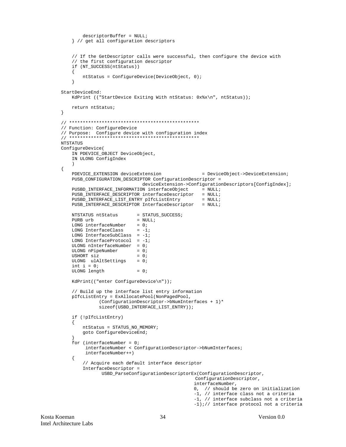```
descriptorBuffer = NULL;} // get all configuration descriptors
   // If the GetDescriptor calls were successful, then configure the device with
   // the first configuration descriptor
   if (NT_SUCCESS(ntStatus))
   \mathcal{L}ntStatus = ConfigureDevice(DeviceObject, 0);
   \left\{ \right\}StartDeviceEnd:
   KdPrint (("StartDevice Exiting With ntStatus: 0x*x\n", ntStatus));
   return ntStatus;
\}// Function: ConfigureDevice
// Purpose: Configure device with configuration index
NTSTATUS
ConfigureDevice(
   IN PDEVICE_OBJECT DeviceObject,
   IN ULONG ConfigIndex
\{PDEVICE_EXTENSION deviceExtension
                                                 = DeviceObject->DeviceExtension;
   PUSB_CONFIGURATION_DESCRIPTOR ConfigurationDescriptor =
                           deviceExtension->ConfigurationDescriptors[ConfigIndex];
   PUSBD_INTERFACE_INFORMATION interfaceObject = NULL;
   PUSB_INTERFACE_DESCRIPTOR interfaceDescriptor
                                               = NULL;
   PUSBD_INTERFACE_LIST_ENTRY pIfcListEntry
                                                 = NULL;
   PUSB_INTERFACE_DESCRIPTOR InterfaceDescriptor = NULL;
                          = STATUS_SUCCESS;
   NTSTATUS ntStatus
   PURB urb
                          = NULL;
   LONG interfaceNumber = 0;
   LONG InterfaceClass = -1;
   LONG InterfaceSubClass = -1;
   LONG InterfaceProtocol = -1iULONG nInterfaceNumber = 0;
   ULONG nPipelNumber = 0USHORT siz
                          = 0ULONG ulAltSettings = 0;
   int i = 0iULONG length
                          = 0;KdPrint(("enter ConfigureDevice\n"));
   // Build up the interface list entry information
   pIfcListEntry = ExAllocatePool(NonPagedPool,
             (ConfigurationDescriptor->bNumInterfaces + 1)*
             sizeof(USBD_INTERFACE_LIST_ENTRY));
   if (!pIfcListEntry)
   \{ntStatus = STATUS_NO_MEMORY;
       goto ConfigureDeviceEnd;
   for (interfaceNumber = 0;
        interfaceNumber < ConfigurationDescriptor->bNumInterfaces;
        interfaceNumber++)
   \{// Acquire each default interface descriptor
       InterfaceDescriptor =
              USBD_ParseConfigurationDescriptorEx(ConfigurationDescriptor,
                                               ConfigurationDescriptor,
                                              interfaceNumber,
                                              0, // should be zero on initialization
                                              -1, // interface class not a criteria
                                              -1, // interface subclass not a criteria
                                              -1);// interface protocol not a criteria
```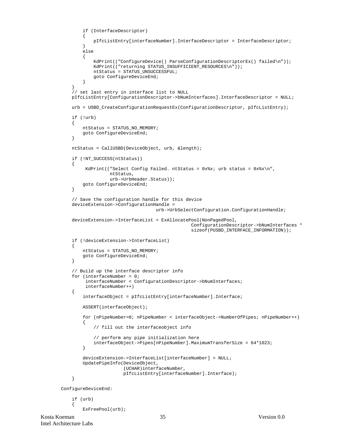```
 if (InterfaceDescriptor)
\{ pIfcListEntry[interfaceNumber].InterfaceDescriptor = InterfaceDescriptor;
         }
         else
\left\{ \begin{array}{c} \end{array} \right.KdPrint(("ConfigureDevice() ParseConfigurationDescriptorEx() failed\n"));
            KdPrint(("returning STATUS_INSUFFICIENT_RESOURCES\n"));
             ntStatus = STATUS_UNSUCCESSFUL;
             goto ConfigureDeviceEnd;
         }
 }
     // set last entry in interface list to NULL
     pIfcListEntry[ConfigurationDescriptor->bNumInterfaces].InterfaceDescriptor = NULL;
    urb = USBD CreateConfigurationRequestEx(ConfigurationDescriptor, pIfcListEntry);
     if (!urb)
     {
         ntStatus = STATUS_NO_MEMORY;
         goto ConfigureDeviceEnd;
 }
     ntStatus = CallUSBD(DeviceObject, urb, &length);
     if (!NT_SUCCESS(ntStatus))
     {
         KdPrint(("Select Config Failed. ntStatus = 0x*x; urb status = 0x*x\n",
                   ntStatus,
                   urb->UrbHeader.Status));
         goto ConfigureDeviceEnd;
     }
     // Save the configuration handle for this device
     deviceExtension->ConfigurationHandle =
                                     urb->UrbSelectConfiguration.ConfigurationHandle;
     deviceExtension->InterfaceList = ExAllocatePool(NonPagedPool,
                                                   ConfigurationDescriptor->bNumInterfaces *
                                                   sizeof(PUSBD_INTERFACE_INFORMATION));
     if (!deviceExtension->InterfaceList)
\{ ntStatus = STATUS_NO_MEMORY;
         goto ConfigureDeviceEnd;
     }
     // Build up the interface descriptor info
    for (interfaceNumber = 0;
          interfaceNumber < ConfigurationDescriptor->bNumInterfaces;
          interfaceNumber++)
     {
         interfaceObject = pIfcListEntry[interfaceNumber].Interface;
         ASSERT(interfaceObject);
         for (nPipeNumber=0; nPipeNumber < interfaceObject->NumberOfPipes; nPipeNumber++)
         {
             // fill out the interfaceobject info
             // perform any pipe initialization here
             interfaceObject->Pipes[nPipeNumber].MaximumTransferSize = 64*1023;
         }
         deviceExtension->InterfaceList[interfaceNumber] = NULL;
         UpdatePipeInfo(DeviceObject,
                         (UCHAR)interfaceNumber,
                         pIfcListEntry[interfaceNumber].Interface);
     }
ConfigureDeviceEnd:
     if (urb)
 {
         ExFreePool(urb);
```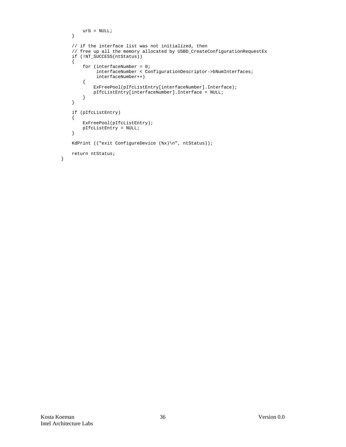```
urb = NULL; }
 // if the interface list was not initialized, then
 // free up all the memory allocated by USBD_CreateConfigurationRequestEx
 if (!NT_SUCCESS(ntStatus))
 {
     for (interfaceNumber = 0;
          interfaceNumber < ConfigurationDescriptor->bNumInterfaces;
          interfaceNumber++)
     {
         ExFreePool(pIfcListEntry[interfaceNumber].Interface);
         pIfcListEntry[interfaceNumber].Interface = NULL;
     }
 }
 if (pIfcListEntry)
 {
     ExFreePool(pIfcListEntry);
     pIfcListEntry = NULL;
 }
 KdPrint (("exit ConfigureDevice (%x)\n", ntStatus));
 return ntStatus;
```
}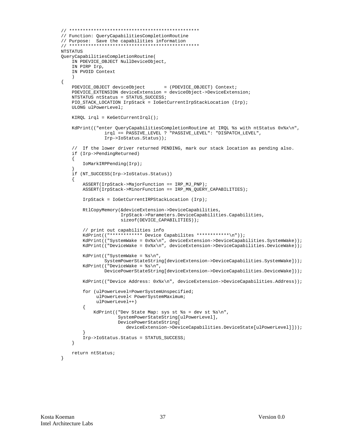```
// Function: OueryCapabilitiesCompletionRoutine
// Purpose: Save the capabilities information
// *******************
NTSTATUS
QueryCapabilitiesCompletionRoutine(
    IN PDEVICE_OBJECT NullDeviceObject,
    IN PIRP Irp,
    IN PVOID Context
\{PDEVICE_OBJECT deviceObject
                                   = (PDEVICE_OBJECT) Context;
    PDEVICE_EXTENSION deviceExtension = deviceObject->DeviceExtension;
    NTSTATUS ntStatus = STATUS SUCCESS;
    PIO_STACK_LOCATION IrpStack = IoGetCurrentIrpStackLocation (Irp);
    ULONG ulPowerLevel;
    KIRQL irql = KeGetCurrentIrql();
    KdPrint(("enter QueryCapabilitiesCompletionRoutine at IRQL %s with ntStatus 0x%x\n",
                \verb|irql == PASSIVE_LEVEL ? "PASSIVE_LEVEL": "DISPظLLE".Irp->IoStatus.Status));
    // If the lower driver returned PENDING, mark our stack location as pending also.
    if (Irp->PendingReturned)
    \{IoMarkIRPPending(Irp);
    if (NT_SUCCESS(Irp->IoStatus.Status))
    \{ASSERT(IrpStack->MajorFunction == IRP_MJ_PNP);
        ASSERT(IrpStack->MinorFunction == IRP_MN_QUERY_CAPABILITIES);
        IrpStack = IoGetCurrentIRPStackLocation (Irp);
        RtlCopyMemory(&deviceExtension->DeviceCapabilities,
                      IrpStack->Parameters.DeviceCapabilities.Capabilities,
                      sizeof(DEVICE_CAPABILITIES));
        // print out capabilities info
        KdPrint(("************ Device Capabilites ************\n"));
        \verb|KdPrint|(\verb| "SystemMake = 0x*x\n", \verb|deviceExtension-> DeviceCapabilities.SystemMake|);\verb|;KdPrint(("DeviceWake = 0x%x\n", deviceExtension->DeviceCapabilities.DeviceWake));
        KdPrint(("SystemWake = s\n\n\pi",
                SystemPowerStateString[deviceExtension->DeviceCapabilities.SystemWake]));
        KdPrint(("DeviceWake = s\nm",
                DevicePowerStateString[deviceExtension->DeviceCapabilities.DeviceWake]));
        KdPrint(("Device Address: 0x%x\n", deviceExtension->DeviceCapabilities.Address));
        for (ulPowerLevel=PowerSystemUnspecified;
             ulPowerLevel< PowerSystemMaximum;
             ulPowerLevel++)
        ſ
            KdPrint(("Dev State Map: sys st %s = dev st %s\n",
                     SystemPowerStateString[ulPowerLevel],
                     DevicePowerStateString[
                       deviceExtension->DeviceCapabilities.DeviceState[ulPowerLevel]]));
        Irp->IoStatus.Status = STATUS_SUCCESS;
    \rightarrowreturn ntStatus;
```
 $\}$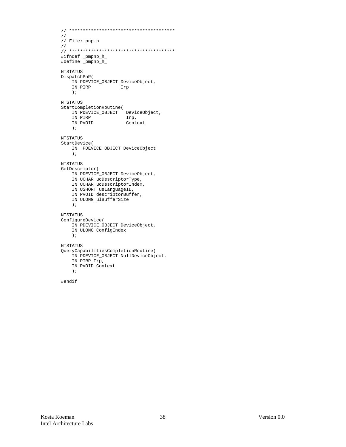```
// ***************************************
//
// File: pnp.h
//
// ***************************************
#ifndef _pmpnp_h_
#define _pmpnp_h_
NTSTATUS
DispatchPnP(
    IN PDEVICE_OBJECT DeviceObject,
     IN PIRP Irp
     );
NTSTATUS
StartCompletionRoutine(
 IN PDEVICE_OBJECT DeviceObject,
 IN PIRP Irp,
 IN PVOID Context
    );
NTSTATUS
StartDevice(
    IN PDEVICE_OBJECT DeviceObject
    );
NTSTATUS
GetDescriptor(
    IN PDEVICE_OBJECT DeviceObject,
    IN UCHAR ucDescriptorType,
    IN UCHAR ucDescriptorIndex,
    IN USHORT usLanguageID,
    IN PVOID descriptorBuffer,
    IN ULONG ulBufferSize
     );
NTSTATUS
ConfigureDevice(
    IN PDEVICE_OBJECT DeviceObject,
    IN ULONG ConfigIndex
    );
NTSTATUS
QueryCapabilitiesCompletionRoutine(
    IN PDEVICE_OBJECT NullDeviceObject,
    IN PIRP Irp,
    IN PVOID Context
     );
```
#endif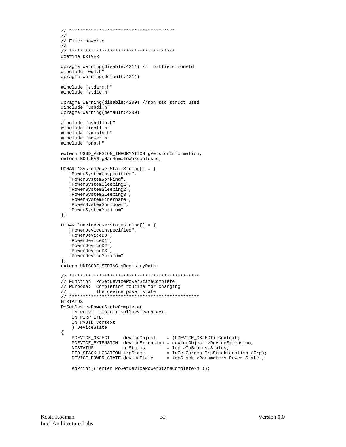```
\frac{1}{2}// File: power.c
\frac{1}{2}#define DRIVER
#pragma warning(disable: 4214) // bitfield nonstd
#include "wdm.h"
#pragma warning(default: 4214)
#include "stdarg.h"
#include "stdio.h"
#pragma warning(disable: 4200) //non std struct used
#include "usbdi.h"
#pragma warning(default:4200)
#include "usbdlib.h"
#include "ioctl.h"
#include "sample.h"
#include "power.h"
#include "pnp.h"
extern USBD_VERSION_INFORMATION gVersionInformation;
extern BOOLEAN gHasRemoteWakeupIssue;
UCHAR *SystemPowerStateString[] = {
   "PowerSystemUnspecified",
   "PowerSystemWorking",
   "PowerSystemSleeping1"
  "PowerSystemSleeping2",
  "PowerSystemSleeping3",
   "PowerSystemHibernate",
   "PowerSystemShutdown",
  "PowerSystemMaximum"
\};
UCHAR *DevicePowerStateString[] = {
  "PowerDeviceUnspecified",
   "PowerDeviceD0",
  "PowerDeviceD1",
  "PowerDeviceD2",
  "PowerDeviceD3"
  "PowerDeviceMaximum"
\} ;
extern UNICODE_STRING gRegistryPath;
// Function: PoSetDevicePowerStateComplete
// Purpose: Completion routine for changing
\frac{1}{2}the device power state
NTSTATUS
PoSetDevicePowerStateComplete(
   IN PDEVICE_OBJECT NullDeviceObject,
   IN PIRP Irp,
   IN PVOID Context
   ) DeviceState
\{ntStatus = Irp->IoStatus.Status;<br>LOCATION irpStack = IoGetCurrentIrpStackLocation (Irp);
   NTSTATIIS
   PIO_STACK_LOCATION irpStack
   \texttt{DEVICE\_POWER\_STATE} \texttt{ deviceState} \texttt{ = } \texttt{irpStack->Parameters.Power.State.}KdPrint(("enter PoSetDevicePowerStateComplete\n"));
```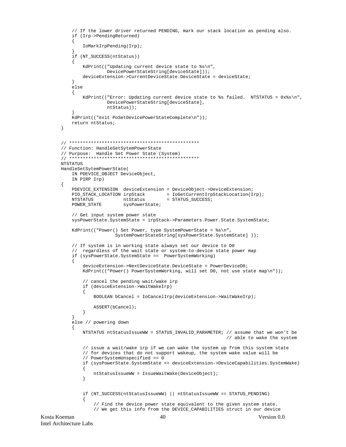```
 // If the lower driver returned PENDING, mark our stack location as pending also.
     if (Irp->PendingReturned)
\{ IoMarkIrpPending(Irp);
 }
     if (NT_SUCCESS(ntStatus))
 {
         KdPrint(("Updating current device state to %s\n",
                  DevicePowerStateString[deviceState]));
         deviceExtension->CurrentDeviceState.DeviceState = deviceState;
     }
     else
     {
        KdPrint(("Error: Updating current device state to %s failed. NTSTATUS = 0x*x\n",
                  DevicePowerStateString[deviceState],
                  ntStatus));
 }
     KdPrint(("exit PoSetDevicePowerStateComplete\n"));
     return ntStatus;
}
// ************************************************
// Function: HandleSetSytemPowerState
// Purpose: Handle Set Power State (System)
// ************************************************
NTSTATUS
HandleSetSytemPowerState(
     IN PDEVICE_OBJECT DeviceObject,
    IN PIRP Irp)
{
     PDEVICE_EXTENSION deviceExtension = DeviceObject->DeviceExtension;
    PIO_STACK_LOCATION irpStack = IoGetCurrentIrpStackLocation(Irp);NTSTATUS ntStatus = STATUS_SUCCESS;
    POWER_STATE sysPowerState;
     // Get input system power state
    sysPowerState.SystemState = irpStack->Parameters.Power.State.SystemState;
     KdPrint(("Power() Set Power, type SystemPowerState = %s\n",
                     SystemPowerStateString[sysPowerState.SystemState] ));
     // If system is in working state always set our device to D0
     // regardless of the wait state or system-to-device state power map
     if (sysPowerState.SystemState == PowerSystemWorking)
    \left\{ \right. deviceExtension->NextDeviceState.DeviceState = PowerDeviceD0;
        KdPrint(("Power() PowerSystemWorking, will set D0, not use state map\n"));
         // cancel the pending wait/wake irp
         if (deviceExtension->WaitWakeIrp)
         {
             BOOLEAN bCancel = IoCancelIrp(deviceExtension->WaitWakeIrp);
             ASSERT(bCancel);
         }
 }
     else // powering down
\{ NTSTATUS ntStatusIssueWW = STATUS_INVALID_PARAMETER; // assume that we won't be
                                                               // able to wake the system
         // issue a wait/wake irp if we can wake the system up from this system state
         // for devices that do not support wakeup, the system wake value will be
         // PowerSystemUnspecified == 0
         if (sysPowerState.SystemState <= deviceExtension->DeviceCapabilities.SystemWake)
         {
             ntStatusIssueWW = IssueWaitWake(DeviceObject);
         }
         if (NT_SUCCESS(ntStatusIssueWW) || ntStatusIssueWW == STATUS_PENDING)
\{ // Find the device power state equivalent to the given system state.
             // We get this info from the DEVICE_CAPABILITIES struct in our device
```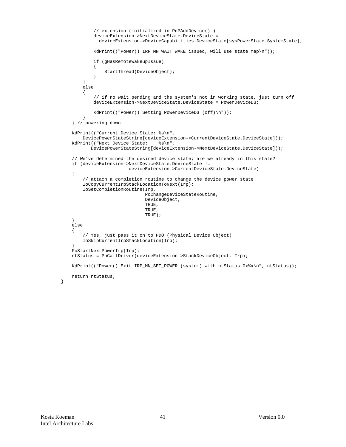```
 // extension (initialized in PnPAddDevice() )
                deviceExtension->NextDeviceState.DeviceState =
                 deviceExtension->DeviceCapabilities.DeviceState[sysPowerState.SystemState];
               KdPrint(("Power() IRP_MN_WAIT_WAKE issued, will use state map\n"));
                if (gHasRemoteWakeupIssue)
\left\{ \begin{array}{ccc} 0 & 0 & 0 \\ 0 & 0 & 0 \\ 0 & 0 & 0 \\ 0 & 0 & 0 \\ 0 & 0 & 0 \\ 0 & 0 & 0 \\ 0 & 0 & 0 \\ 0 & 0 & 0 \\ 0 & 0 & 0 \\ 0 & 0 & 0 \\ 0 & 0 & 0 \\ 0 & 0 & 0 \\ 0 & 0 & 0 \\ 0 & 0 & 0 & 0 \\ 0 & 0 & 0 & 0 \\ 0 & 0 & 0 & 0 \\ 0 & 0 & 0 & 0 & 0 \\ 0 & 0 & 0 & 0 & 0 \\ 0 & 0 & 0 & 0 & 0 \\ 0 & 0 & 0 & 0StartThread(DeviceObject);<br>}
 }
          }
          else
           {
                // if no wait pending and the system's not in working state, just turn off
               deviceExtension->NextDeviceState.DeviceState = PowerDeviceD3;
               KdPrint(("Power() Setting PowerDeviceD3 (off)\n"));
           }
     } // powering down
     KdPrint(("Current Device State: %s\n",
         DevicePowerStateString[deviceExtension->CurrentDeviceState.DeviceState]));<br>:int(("Next Device State: \frac{1}{8}\pi",
    KdPrint(("Next Device State:
              DevicePowerStateString[deviceExtension->NextDeviceState.DeviceState]));
     // We've determined the desired device state; are we already in this state?
     if (deviceExtension->NextDeviceState.DeviceState !=
                                deviceExtension->CurrentDeviceState.DeviceState)
     {
           // attach a completion routine to change the device power state
          IoCopyCurrentIrpStackLocationToNext(Irp);
          IoSetCompletionRoutine(Irp,
                                        PoChangeDeviceStateRoutine,
                                        DeviceObject,
                                       TRUE.
                                        TRUE,
                                        TRUE);
     }
     else
     {
           // Yes, just pass it on to PDO (Physical Device Object)
          IoSkipCurrentIrpStackLocation(Irp);
 }
     PoStartNextPowerIrp(Irp);
     ntStatus = PoCallDriver(deviceExtension->StackDeviceObject, Irp);
    KdPrint(("Power() Exit IRP_MN_SET_POWER (system) with ntStatus 0x%x\n", ntStatus));
     return ntStatus;
```
}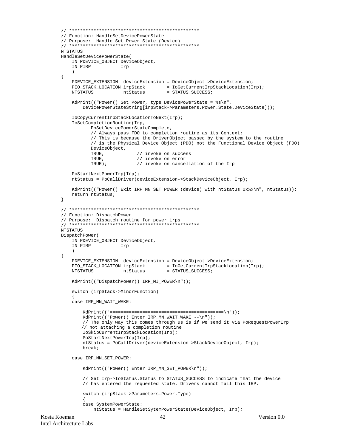```
// Function: HandleSetDevicePowerState
// Purpose: Handle Set Power State (Device)
NTSTATUS
HandleSetDevicePowerState(
   IN PDEVICE_OBJECT DeviceObject,
   IN PIRP
                    Irp
   \rightarrow\{PDEVICE_EXTENSION deviceExtension = DeviceObject->DeviceExtension;
   {\tt PIO\_STACK\_LOCALION} \text{ irpStack } \newline \hspace*{1.5em} = \text{IOGetCurrent IrpStackLocation(Irp)} \text{ ; }ntStatus
                                    = STATUS_SUCCESS;
   NTSTATUS
   KdPrint(("Power() Set Power, type DevicePowerState = %s\n",
       DevicePowerStateString[irpStack->Parameters.Power.State.DeviceState]));
   IoCopyCurrentIrpStackLocationToNext(Irp);
   IoSetCompletionRoutine(Irp,
          PoSetDevicePowerStateComplete,
          // Always pass FDO to completion routine as its Context;
          // This is because the DriverObject passed by the system to the routine
          // is the Physical Device Object (PDO) not the Functional Device Object (FDO)
          DeviceObject,
          TRUE,
                          // invoke on success
          TRUE.
                          // invoke on error
          TRUE);
                          // invoke on cancellation of the Irp
   PoStartNextPowerIrp(Irp);
   ntStatus = PoCallDriver(deviceExtension->StackDeviceObject, Irp);
   KdPrint(("Power() Exit IRP_MN_SET_POWER (device) with ntStatus 0x%x\n", ntStatus));
   return ntStatus;
\}// Function: DispatchPower
// Purpose: Dispatch routine for power irps
NTSTATUS
DispatchPower(
   IN PDEVICE_OBJECT DeviceObject,
   IN PIRP
                    Irp
   \lambda\{PDEVICE_EXTENSION deviceExtension = DeviceObject->DeviceExtension;
   {\tt PIO\_STACK\_LOCALION} \text{ irpStack } \newline \hspace*{1.5em} = \text{IOGetCurrent IrpStackLocation(Irp)} \text{ ; }NTSTATUS
                     ntStatus
                                    = STATUS_SUCCESS;
   KdPrint(("DispatchPower() IRP_MJ_POWER\n"));
   switch (irpStack->MinorFunction)
   case IRP_MN_WAIT_WAKE:
       KdPrint(("Power() Enter IRP_MN_MAIT_MAKE --\n''));// The only way this comes through us is if we send it via PoRequestPowerIrp
       // not attaching a completion routine
       IoSkipCurrentIrpStackLocation(Irp);
       PoStartNextPowerIrp(Irp);
       ntStatus = PoCallDriver(deviceExtension->StackDeviceObject, Irp);
       hreak:
   case IRP_MN_SET_POWER:
       KdPrint(("Power() Enter IRP_MN_SET_POWER\n"));
        // Set Irp->IoStatus.Status to STATUS_SUCCESS to indicate that the device
       // has entered the requested state. Drivers cannot fail this IRP.
       switch (irpStack->Parameters.Power.Type)
       case SystemPowerState:
           ntStatus = HandleSetSytemPowerState(DeviceObject, Irp);
```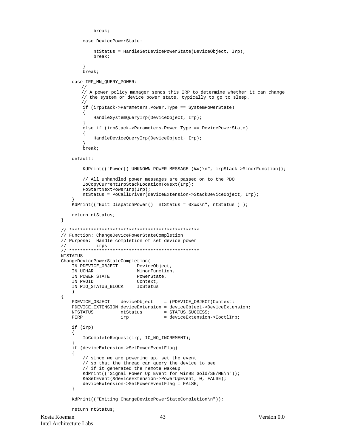```
 break;
         case DevicePowerState:
             ntStatus = HandleSetDevicePowerState(DeviceObject, Irp);
             break;
 }
         break;
     case IRP_MN_QUERY_POWER:
       //
       // A power policy manager sends this IRP to determine whether it can change
       // the system or device power state, typically to go to sleep.
       //
         if (irpStack->Parameters.Power.Type == SystemPowerState)
         {
             HandleSystemQueryIrp(DeviceObject, Irp);
         }
         else if (irpStack->Parameters.Power.Type == DevicePowerState)
\{ HandleDeviceQueryIrp(DeviceObject, Irp);
 }
         break;
     default:
        KdPrint(("Power() UNKNOWN POWER MESSAGE (*x)\n, irpStack->MinorFunction));
         // All unhandled power messages are passed on to the PDO
         IoCopyCurrentIrpStackLocationToNext(Irp);
         PoStartNextPowerIrp(Irp);
         ntStatus = PoCallDriver(deviceExtension->StackDeviceObject, Irp);
 }
     KdPrint(("Exit DispatchPower() ntStatus = 0x%x\n", ntStatus ) );
    return ntStatus;
// ************************************************
// Function: ChangeDevicePowerStateCompletion
// Purpose: Handle completion of set device power
// irps
// ************************************************
NTSTATUS
ChangeDevicePowerStateCompletion(
   IN PDEVICE_OBJECT DeviceObject,<br>IN UCHAR MinorFunction
                          MinorFunction,<br>PowerState,
   IN POWER STATE
    IN PVOID Context,
    IN PIO STATUS BLOCK loStatus
\overline{\phantom{a}}PDEVICE_OBJECT deviceObject = (PDEVICE_OBJECT)Context;
     PDEVICE_EXTENSION deviceExtension = deviceObject->DeviceExtension;
   NTSTATUS ntStatus = STATUS_SUCCESS;<br>PIRP irp = deviceExtension
                      irp = deviceExtension->IoctlIrp;
     if (irp)
     {
         IoCompleteRequest(irp, IO_NO_INCREMENT);
 }
     if (deviceExtension->SetPowerEventFlag)
 {
         // since we are powering up, set the event
         // so that the thread can query the device to see
         // if it generated the remote wakeup
         KdPrint(("Signal Power Up Event for Win98 Gold/SE/ME\n"));
         KeSetEvent(&deviceExtension->PowerUpEvent, 0, FALSE);
         deviceExtension->SetPowerEventFlag = FALSE;
     }
     KdPrint(("Exiting ChangeDevicePowerStateCompletion\n"));
```

```
 return ntStatus;
```
}

{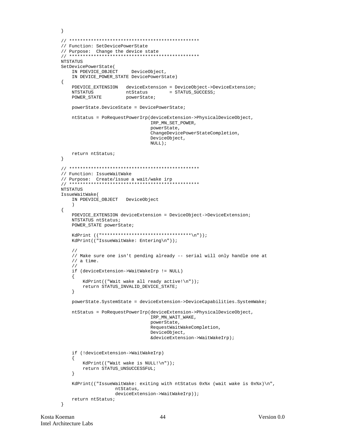```
\}// Function: SetDevicePowerState
NTSTATIIS
SetDevicePowerState(
   IN PDEVICE_OBJECT
                       DeviceObject,
   IN DEVICE_POWER_STATE DevicePowerState)
\{PDEVICE_EXTENSION deviceExtension = DeviceObject->DeviceExtension;
   NTSTATUS
                     ntStatus
                                  = STATUS SUCCESS;
                ntotata.<br>powerState;
   POWER STATE
   powerState.DeviceState = DevicePowerState;
   ntStatus = PoRequestPowerIrp(deviceExtension->PhysicalDeviceObject,
                              IRP_MN_SET_POWER,
                              powerState,
                              ChangeDevicePowerStateCompletion,
                              DeviceObject,
                              NULL);
   return ntStatus;
\}// Function: IssueWaitWake
NTSTATUS
IssueWaitWake(
   IN PDEVICE_OBJECT DeviceObject
   \lambda\{PDEVICE_EXTENSION deviceExtension = DeviceObject->DeviceExtension;
   NTSTATUS ntStatus;
   POWER STATE powerState;
   KdPrint (("*********************************\n"));
   KdPrint(("IssueWaitWake: Entering\n"));
   \frac{1}{2}// Make sure one isn't pending already -- serial will only handle one at
   // a time.
   \frac{1}{2}if (deviceExtension->WaitWakeIrp != NULL)
   \{KdPrint(("Wait wake all ready active!\n"));
       return STATUS_INVALID_DEVICE_STATE;
   \rightarrowpowerState.SystemState = deviceExtension->DeviceCapabilities.SystemWake;
   ntStatus = PoRequestPowerIrp(deviceExtension->PhysicalDeviceObject,
                              IRP_MN_WAIT_WAKE,
                              powerState,
                              RequestWaitWakeCompletion,
                              DeviceObject,
                              &deviceExtension->WaitWakeIrp);
   if (!deviceExtension->WaitWakeIrp)
   \{KdPrint(("Wait wake is NULL!\n"));
       {\tt return} STATUS_UNSUCCESSFUL;
   \}KdPrint(("IssueWaitWake: exiting with ntStatus 0x%x (wait wake is 0x%x)\n",
                  ntStatus,
                  deviceExtension->WaitWakeIrp));
   return ntStatus;
\rightarrow
```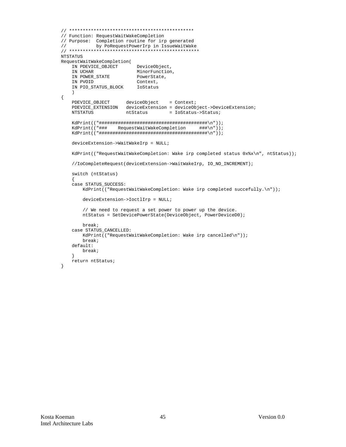```
// Function: RequestWaitWakeCompletion
// Purpose: Completion routine for irp generated
\frac{1}{2}by PoRequestPowerIrp in IssueWaitWake
NTSTATUS
RequestWaitWakeCompletion(
   IN PDEVICE_OBJECT
                        DeviceObject,
   IN UCHAR
                        MinorFunction,
   IN POWER_STATE
                         PowerState,
   IN PVOID
                        Context,
   IN PIO_STATUS_BLOCK    IoStatus
\{\begin{tabular}{ll} \bf PDEVICE\_OBJECT & \tt deviceObject & = Context \textit{;} \\ \bf PDEVICE\_EXTENSION & \tt deviceExtension = deviceObject->DeviceExtension \textit{;} \\ \end{tabular}NTSTATUS
                     ntStatus
                                   = IoStatus->Status;
   KdPrint(("###
                 RequestWaitWakeCompletion
                                              ###\n"));
   deviceExtension->WaitWakeIrp = NULL;
   KdPrint(("RequestWaitWakeCompletion: Wake irp completed status 0x%x\n", ntStatus));
   //IoCompleteRequest(deviceExtension->WaitWakeIrp, IO_NO_INCREMENT);
   switch (ntStatus)
   case STATUS_SUCCESS:
       KdPrint(("RequestWaitWakeCompletion: Wake irp completed succefully.\n"));
       deviceExtension->IoctlIrp = NULL;
       // We need to request a set power to power up the device.
       ntStatus = SetDevicePowerState(DeviceObject, PowerDeviceD0);
       break;
   case STATUS_CANCELLED:
       KdPrint(("RequestWaitWakeCompletion: Wake irp cancelled\n"));
       break;
   default:
      break;
   return ntStatus;
\}
```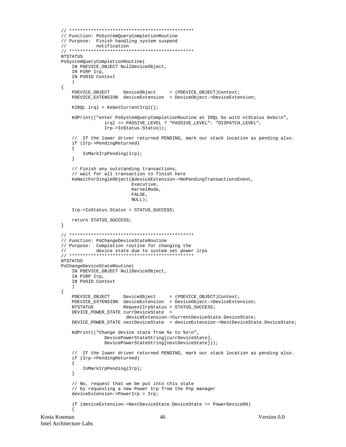```
// Function: PoSystemOueryCompletionRoutine
// Purpose: Finish handling system suspend
\frac{1}{2}notification
NTSTATUS
PoSystemQueryCompletionRoutine(
   IN PDEVICE_OBJECT NullDeviceObject,
   IN PIRP Irp,
   IN PVOID Context
   \rightarrow\{PDEVICE_OBJECT DeviceObject
                                   = (PDEVICE_OBJECT)Context;
   PDEVICE_EXTENSION deviceExtension = DeviceObject->DeviceExtension;
   KIROL irgl = KefetCurrentIrgl();
   KdPrint(("enter PoSystemQueryCompletionRoutine at IRQL %s with ntStatus 0x%x\n",
               irql == PASSIVE_LEVEL ? "PASSIVE_LEVEL": "DISPATCH_LEVEL",
               Irp->IoStatus.Status));
   // If the lower driver returned PENDING, mark our stack location as pending also.
   if (Irp->PendingReturned)
   \left\{ \right.IoMarkIrpPending(Irp);
   \left\{ \right\}// Finish any outstanding transactions,
   // wait for all transaction to finish here
   KeWaitForSingleObject(&deviceExtension->NoPendingTransactionsEvent,
                        Executive,
                        KernelMode,
                        FALSE.
                        NULL);
   Irp->IoStatus.Status = STATUS_SUCCESS;
   return STATUS_SUCCESS;
\}// Function: PoChangeDeviceStateRoutine
// Purpose: Completion routine for changing the
           device state due to system set power irps
\frac{1}{2}NTSTATUS
PoChangeDeviceStateRoutine(
   IN PDEVICE_OBJECT NullDeviceObject,
   IN PIRP Irp.
   IN PVOID Context
   \rightarrow\{PDEVICE_OBJECT DeviceObject = (PDEVICE_OBJECT)Context;
   PDEVICE_EXTENSION deviceExtension = DeviceObject->DeviceExtension;
   NTSTATIIS
                     RequestIrpStatus = STATUS_SUCCESS;
   DEVICE_POWER_STATE currDeviceState =
                     deviceExtension->CurrentDeviceState.DeviceState;
   DEVICE_POWER_STATE nextDeviceState = deviceExtension->NextDeviceState.DeviceState;
   KdPrint(("Change device state from %s to %s\n",
               DevicePowerStateString[currDeviceState],
               DevicePowerStateString[nextDeviceState]));
   // If the lower driver returned PENDING, mark our stack location as pending also.
   if (Irp->PendingReturned)
   \left\{ \right.IoMarkIrpPending(Irp);
   \}// No, request that we be put into this state
   // by requesting a new Power Irp from the Pnp manager
   deviceExtension->PowerIrp = Irp;
   if (deviceExtension->NextDeviceState.DeviceState == PowerDeviceD0)
   \{
```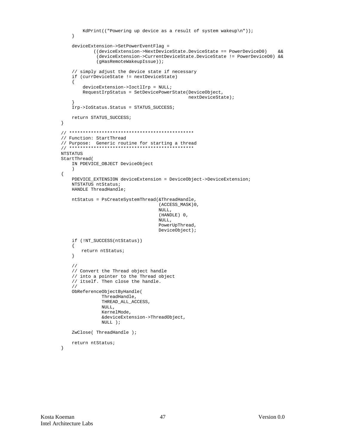```
KdPrint(("Powering up device as a result of system wakeup\langle n'' \rangle);
    \left\{ \right\}deviceExtension->SetPowerEventFlag =
            ((deviceExtension->NextDeviceState.DeviceState == PowerDeviceD0)
                                                                                \delta x(deviceExtension->CurrentDeviceState.DeviceState != PowerDeviceD0) & &
             (gHasRemoteWakeupIssue));
    // simply adjust the device state if necessary
    if (currDeviceState != nextDeviceState)
    \{\verb|deviceExtension->IoctlIrp = NULL| \\RequestIrpStatus = SetDevicePowerState(DeviceObject,
                                              nextDeviceState);
    .<br>Irp->IoStatus.Status = STATUS SUCCESS;
    return STATUS_SUCCESS;
\}// Function: StartThread
NTSTATUS
StartThread(
    IN PDEVICE_OBJECT DeviceObject
    \lambda\{PDEVICE_EXTENSION deviceExtension = DeviceObject->DeviceExtension;
    NTSTATUS ntStatus;
   HANDLE ThreadHandle;
    ntStatus = PsCreateSystemThread(&ThreadHandle,
                                    (ACCESS_MASK)0,
                                    NULL,
                                    (HANDLE) 0,
                                    NULL,
                                    PowerUpThread,
                                    DeviceObject);
    if (!NT_SUCCESS(ntStatus))
    \{return ntStatus;
    \left\{ \right\}\frac{1}{2}// Convert the Thread object handle
    // into a pointer to the Thread object
    // itself. Then close the handle.
    \frac{1}{2}ObReferenceObjectByHandle(
              ThreadHandle,
               THREAD_ALL_ACCESS,
               NULL,
              KernelMode.
               &deviceExtension->ThreadObject,
              NULL );
    ZwClose(ThreadHandle);
    return ntStatus;
```

```
\mathfrak{z}
```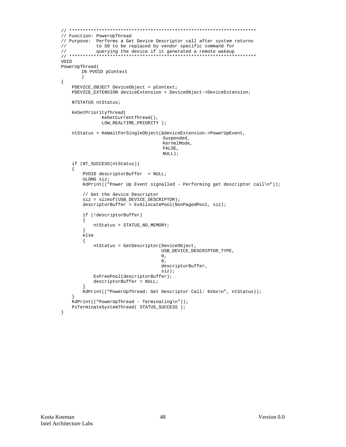```
// Function: PowerUpThread
// Purpose: Performs a Get Device Descriptor call after system returns
\frac{1}{2}to S0 to be replaced by vendor specific command for
VOID
PowerUpThread(
      IN PVOID pContext
      \lambda\{PDEVICE_OBJECT DeviceObject = pContext;
   PDEVICE_EXTENSION deviceExtension = DeviceObject->DeviceExtension;
   NTSTATUS ntStatus;
   KeSetPriorityThread(
             KeGetCurrentThread(),
             LOW_REALTIME_PRIORITY );
   ntStatus = KeWaitForSingleObject(&deviceExtension->PowerUpEvent,
                                  Suspended,
                                  KernelMode,
                                  FALSE.
                                 NULL);
   if (NT_SUCCESS(ntStatus))
   \{PVOID descriptorBuffer = NULLULONG siz;
       KdPrint(("Power Up Event signalled - Performing get descriptor call\n"));
       // Get the device Descriptor
       size = sizeof(USE_DENCE_D ESCRIPTOR);descriptorBuffer = ExAllocatePool(NonPagedPool, siz);if (!descriptorBuffer)
       \{ntStatus = STATUS NO MEMORY;
       \}else
       \{ntStatus = GetDescriptor(DeviceObject,
                                 USB_DEVICE_DESCRIPTOR_TYPE,
                                 0,0,descriptorBuffer,
                                 \sin z);
          ExFreePool(descriptorBuffer);
          descriptorBuffer = NULL;ļ
       KdPrint(("PowerUpThread: Get Descriptor Call: 0x%x\n", ntStatus));
   - }
   KdPrint(("PowerUpThread - Terminating\n"));
   PsTerminateSystemThread( STATUS_SUCCESS );
```
 $\mathcal{E}$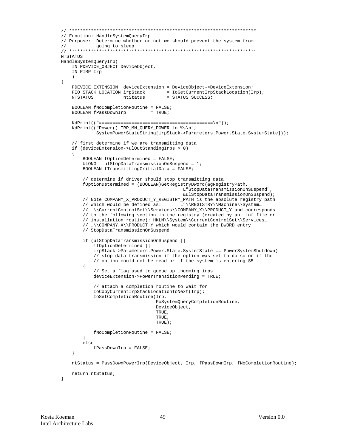```
// Function: HandleSystemOueryIrp
// Purpose: Determine whether or not we should prevent the system from
\frac{1}{2}going to sleep
NTSTATUS
HandleSystemQueryIrp(
   IN PDEVICE_OBJECT DeviceObject,
   IN PIRP Irp
\{PDEVICE_EXTENSION deviceExtension = DeviceObject->DeviceExtension;
                                = IoGetCurrentIrpStackLocation(Irp);<br>= STATUS_SUCCESS;
   PIO_STACK_LOCATION irpStack
   NTSTATUS
                    nt.Status
   BOOLEAN fNoCompletionRoutine = FALSE;
   BOOLEAN fPassDownIrp
                                = TRUE;
   KdPrint ( (" == == == == == == == == == == == == == == == == == == ==) n") ) ;
   KdPrint(("Power() IRP_MN_QUERY_POWER to %s\n",
            SystemPowerStateString[irpStack->Parameters.Power.State.SystemState]));
   // first determine if we are transmitting data
   if (deviceExtension->ulOutStandingIrps > 0)
   \{BOOLEAN fOptionDetermined = FALSE;
       ULONG ulStopDataTransmissionOnSuspend = 1;
       BOOLEAN fTransmittingCritialData = FALSE;
        // determine if driver should stop transmitting data
       fOptionDetermined = (BOOLEAN)GetRegistryDword(&gRegistryPath,
                                           L"StopDataTransmissionOnSuspend",
                                           &ulStopDataTransmissionOnSuspend);
       // Note COMPANY_X_PRODUCT_Y_REGISTRY_PATH is the absolute registry path
       // which would be defined as: L"\\REGISTRY\\Machine\\System...
       // ...\\CurrentControlSet\\Services\\COMPANY_X\\PRODUCT_Y and corresponds
       // to the following section in the registry (created by an .inf file or
       // installation routine): HKLM\\System\\CurrentControlSet\\Services...
       // ...\\COMPANY X\\PRODUCT Y which would contain the DWORD entry
       // StopDataTransmissionOnSuspend
       if (ulStopDataTransmissionOnSuspend ||
           !fOptionDetermined ||
           irpStack->Parameters.Power.State.SystemState == PowerSystemShutdown)
           // stop data transmission if the option was set to do so or if the
           // option could not be read or if the system is entering S5
        €
           // Set a flag used to queue up incoming irps
           deviceExtension->PowerTransitionPending = TRUE;// attach a completion routine to wait for
           IoCopyCurrentIrpStackLocationToNext(Irp);
           IoSetCompletionRoutine(Irp,
                                  PoSystemQueryCompletionRoutine,
                                  DeviceObject,
                                  TRUE.
                                  TRUE.
                                  TRIJE);
           fNoCompletionRoutine = FALSE;
       \left\{ \right\}else
           fPassDownIrp = FALSE;
   \left\{ \right.ntStatus = PassDownPowerIrp(DeviceObject, Irp, fPassDownIrp, fNoCompletionRoutine);
   return ntStatus;
\}
```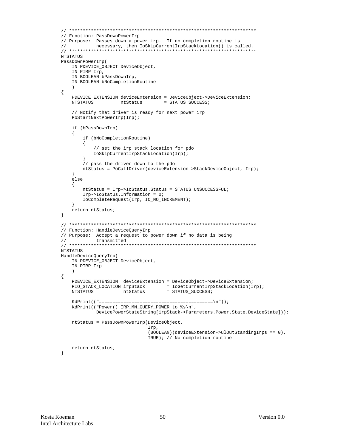```
// Function: PassDownPowerIrp
// Purpose: Passes down a power irp. If no completion routine is
\frac{1}{2}necessary, then IoSkipCurrentIrpStackLocation() is called.
NTSTATUS
PassDownPowerIrp(
   IN PDEVICE_OBJECT DeviceObject,
   IN PIRP Irp,
   IN BOOLEAN bPassDownIrp,
   IN BOOLEAN bNoCompletionRoutine
   \lambda\{PDEVICE EXTENSION deviceExtension = DeviceObject->DeviceExtension;
                              = STATUS_SUCCESS;
   NTSTATUS
                 ntStatus
   // Notify that driver is ready for next power irp
   PoStartNextPowerIrp(Irp);
   if (bPassDownIrp)
   \{if (bNoCompletionRoutine)
      \left\{ \right.// set the irp stack location for pdo
         IoSkipCurrentIrpStackLocation(Irp);
      // pass the driver down to the pdo
      ntStatus = PoCallDriver(deviceExtension->StackDeviceObject, Irp);
   \}else
   \{ntStatus = Irp->IoStatus.Status = STATUS_UNSUCCESSFUL;
      Irp->IoStatus.Information = 0;
      IoCompleteRequest(Irp, IO_NO_INCREMENT);
   \rightarrowreturn ntStatus;
\}// Function: HandleDeviceQueryIrp
// Purpose: Accept a request to power down if no data is being
\frac{1}{2}transmitted
NTSTATUS
HandleDeviceQueryIrp(
   IN PDEVICE_OBJECT DeviceObject,
   IN PIRP Irp
   \rightarrow\{PDEVICE_EXTENSION deviceExtension = DeviceObject->DeviceExtension;
   PIO_STACK_LOCATION irpStack = IoGetCurrentIrpStackLocation(Irp);
   NTSTATUS
                  ntStatus
                                = STATUS_SUCCESS;
   KdPrint(("Power() IRP_MN_QUERY_POWER to %s\n",
          DevicePowerStateString[irpStack->Parameters.Power.State.DeviceState]));
   ntStatus = PassDownPowerIrp(DeviceObject,
                           Irp.
                           (BOOLEAN)(deviceExtension->ulOutStandingIrps == 0),
                          TRUE); // No completion routine
   return ntStatus;
\}
```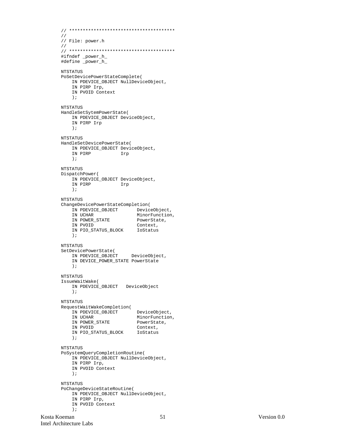```
// ***************************************
//
// File: power.h
//
// ***************************************
#ifndef _power_h_
#define _power_h_
NTSTATUS
PoSetDevicePowerStateComplete(
    IN PDEVICE_OBJECT NullDeviceObject,
     IN PIRP Irp,
     IN PVOID Context
     );
NTSTATUS
HandleSetSytemPowerState(
    IN PDEVICE_OBJECT DeviceObject,
     IN PIRP Irp
     );
NTSTATUS
HandleSetDevicePowerState(
    IN PDEVICE_OBJECT DeviceObject,
    IN PIRP Irp
     );
NTSTATUS
DispatchPower(
    IN PDEVICE_OBJECT DeviceObject,
     IN PIRP Irp
    );
NTSTATUS
ChangeDevicePowerStateCompletion(
   IN PDEVICE_OBJECT DeviceObject,<br>IN UCHAR MinorFunction,<br>IN POWER_STATE PowerState,
IN UCHAR MinorFunction,
IN POWER_STATE PowerState,
 IN PVOID Context,
     IN PIO_STATUS_BLOCK IoStatus
     );
NTSTATUS
SetDevicePowerState(
    IN PDEVICE_OBJECT DeviceObject,
     IN DEVICE_POWER_STATE PowerState
     );
NTSTATUS
IssueWaitWake(
    IN PDEVICE_OBJECT DeviceObject
     );
NTSTATUS
RequestWaitWakeCompletion(
 IN PDEVICE_OBJECT DeviceObject,
IN UCHAR MinorFunction,
IN POWER_STATE PowerState,
   IN COMER STATE PowerState,<br>IN POWER STATE PowerState,<br>Context,
     IN PIO_STATUS_BLOCK IoStatus
     );
NTSTATUS
PoSystemQueryCompletionRoutine(
    IN PDEVICE_OBJECT NullDeviceObject,
     IN PIRP Irp,
     IN PVOID Context
     );
NTSTATUS
PoChangeDeviceStateRoutine(
    IN PDEVICE_OBJECT NullDeviceObject,
     IN PIRP Irp,
    IN PVOID Context
     );
```

```
Kosta Koeman 51 Version 0.0
Intel Architecture Labs
```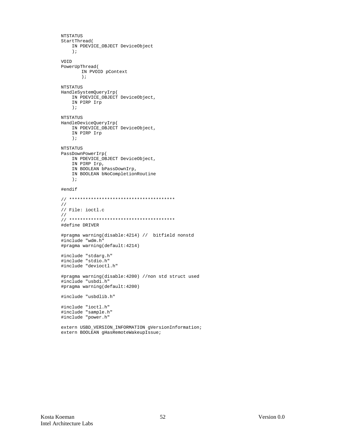```
NTSTATUS
StartThread(
   IN PDEVICE_OBJECT DeviceObject
    \rightarrowVOID
PowerUpThread(
       IN PVOID pContext
       \rightarrowNTSTATUS
HandleSystemQueryIrp(
   IN PDEVICE OBJECT DeviceObject,
   IN PIRP Irp
    \rightarrowNTSTATUS
HandleDeviceQueryIrp(
    IN PDEVICE_OBJECT DeviceObject,
   IN PIRP Irp
   \rightarrowNTSTATUS
PassDownPowerIrp(
   IN PDEVICE_OBJECT DeviceObject,
    IN PIRP Irp,
   IN BOOLEAN bPassDownIrp,
   IN BOOLEAN bNoCompletionRoutine
    \rightarrow#endif
\!\!/\!\!/// File: ioctl.c
\!\!/\!\!/#define DRIVER
#pragma warning(disable: 4214) // bitfield nonstd
#include "wdm.h"
#pragma warning(default:4214)
#include "stdarg.h"
#include "stdio.h"
#include "devioctl.h"
#pragma warning(disable:4200) //non std struct used
#include "usbdi.h"
#pragma warning(default:4200)
#include "usbdlib.h"
#include "ioctl.h"<br>#include "sample.h"
#include "power.h"
```
extern USBD\_VERSION\_INFORMATION gVersionInformation; extern BOOLEAN gHasRemoteWakeupIssue;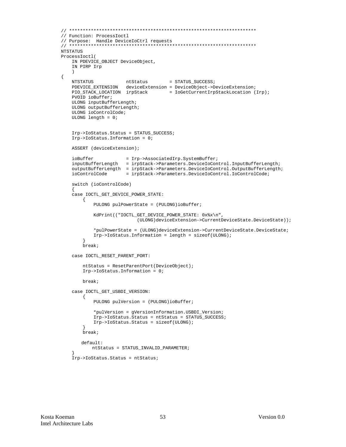```
// Function: ProcessIoctl
// Purpose: Handle DeviceIoCtrl requests
NTSTATUS
ProcessIoctl(
    IN PDEVICE_OBJECT DeviceObject,
    IN PIRP Irp
    \rightarrow\{NTSTATUS ntStatus = STATUS_SUCCESS;<br>
PDEVICE_EXTENSION deviceExtension = DeviceObject->DeviceExtension;<br>
PIO_STACK_LOCATION irpStack = IoGetCurrentIrpStackLocation (Irp);
     PVOID ioBuffer;
     ULONG inputBufferLength;
     ULONG outputBufferLength;
     ULONG ioControlCode;
     ULONG length = 0:Irp->IoStatus.Status = STATUS_SUCCESS;
     Irp->IoS status. Information = 0;ASSERT (deviceExtension);
     iOBuffer = Irp->Associated Irp.SystemBuffer;\ninputBufferLength = irpStack->Parameters. DeviceIoController. InputBufferLength;\noutputBufferLength = irpStack->Parameters.DeviceIoControl.OutputBufferLength;
                            = irpStack->Parameters.DeviceIoControl.IoControlCode;
     ioControlCode
     switch (ioControlCode)
     case IOCTL_GET_DEVICE_POWER_STATE:
         \{PULONG pulPowerState = (PULONG)ioBuffer;
              KdPrint(("IOCTL_GET_DEVICE_POWER_STATE: 0x%x\n",
                                   (ULONG)deviceExtension->CurrentDeviceState.DeviceState));
               *pulPowerState = (ULONG)deviceExtension->CurrentDeviceState.DeviceState;
               Irp->IoStatus. Information = length = sizeof(ULONG);
          -1
          break;
     case IOCTL_RESET_PARENT_PORT:
          ntStatus = ResetParentPort(DeviceObject);
          Irp->IoS status. Information = 0;break;
     case IOCTL_GET_USBDI_VERSION:
         \{PULONG pulVersion = (PULONG)ioBuffer;
               *pulVersion = gVersionInformation.USBDI_Version;
               Irp->IoStatus.Status = ntStatus = STATUS_SUCCESS;
               Irp->IoStatus.Status = sizeof(ULONG);
          break;
         default:ntStatus = STATUS_INVALID_PARAMETER;\verb|Irp->IoS status fstatus = ntstatus |% \verb|Idp|, \verb|Idp|, \verb|Idp|, \verb|Idp|, \verb|Idp|, \verb|Idp|, \verb|Idp|, \verb|Idp|, \verb|Idp|, \verb|Idp|, \verb|Idp|, \verb|Idp|, \verb|Idp|, \verb|Idp|, \verb|Idp|, \verb|Idp|, \verb|Idp|, \verb|Idp|, \verb|Idp|, \verb|Idp|, \verb|Idp|, \verb|Idp|, \verb|Idp|, \verb|Idp|, \verb|Idp|, \verb|Idp|, \verb|Idp|, \verb|Idp|, \verb|Idp|
```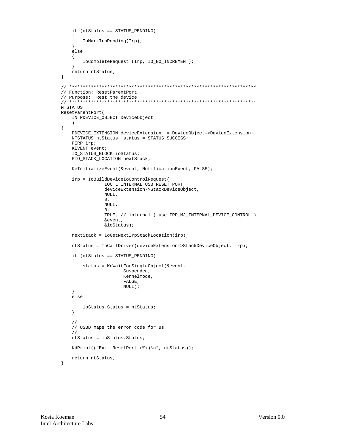```
if (ntStatus == STATUS_PENDING)
    \left\{ \right.IoMarkIrpPending(Irp);
    \left\{ \right\}else
    \mathcal{L}IoCompleteRequest (Irp, IO_NO_INCREMENT);
    }
    return ntStatus;
\}// Function: ResetParentPort
// Purpose: Rest the device
NTSTATUS
ResetParentPort(
   IN PDEVICE_OBJECT DeviceObject
    \rightarrow\{PDEVICE_EXTENSION deviceExtension = DeviceObject->DeviceExtension;
   NTSTATUS ntStatus, status = STATUS_SUCCESS;
   PIRP irp;
   KEVENT event;
    IO_STATUS_BLOCK ioStatus;
    PIO_STACK_LOCATION nextStack;
   KeInitializeEvent(&event, NotificationEvent, FALSE);
    irp = IoBuildDeviceIoControlRequest(
                IOCTL_INTERNAL_USB_RESET_PORT,
               deviceExtension->StackDeviceObject,
               NIIIJ_{1}.
                0,NULL.
                0,TRUE, // internal ( use IRP_MJ_INTERNAL_DEVICE_CONTROL )
                &event.
               \&ioStatus);
    nextStack = IoGetNextIrpStackLocation(irp);
    ntStatus = IoCallDriver(deviceExtension->StackDeviceObject, irp);
    if (ntStatus == STATUS_PENDING)
    \left\{ \right.status = KeWaitForSingleObject(&event,
                      Suspended,
                      KernelMode.
                      FALSE,
                      NULL);
    \left\{ \right\}else
    \mathcal{A}ioStatus. Status = ntStatus;
    \left\{ \right\}\frac{1}{2}// USBD maps the error code for us
    \frac{1}{2}ntStatus = ioStatus.Status;
    KdPrint(("Exit ResetPort (%x)\n", ntStatus));
   return ntStatus;
```

```
\}
```